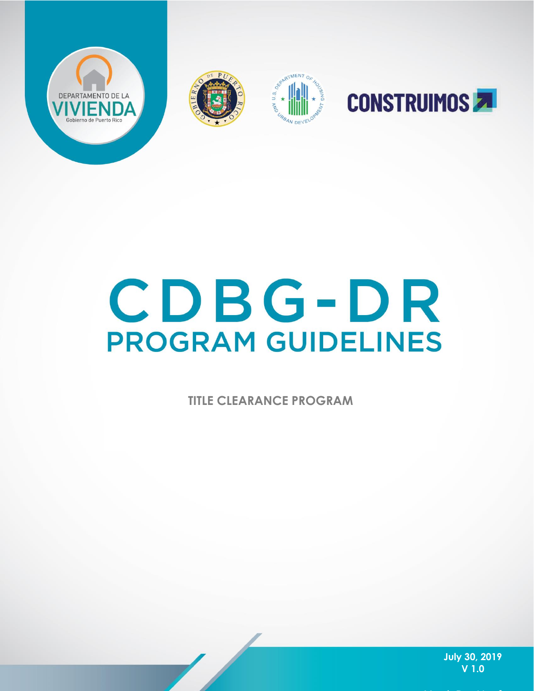







# CDBG-DR **PROGRAM GUIDELINES**

**TITLE CLEARANCE PROGRAM**

**July 30, 2019 V 1.0**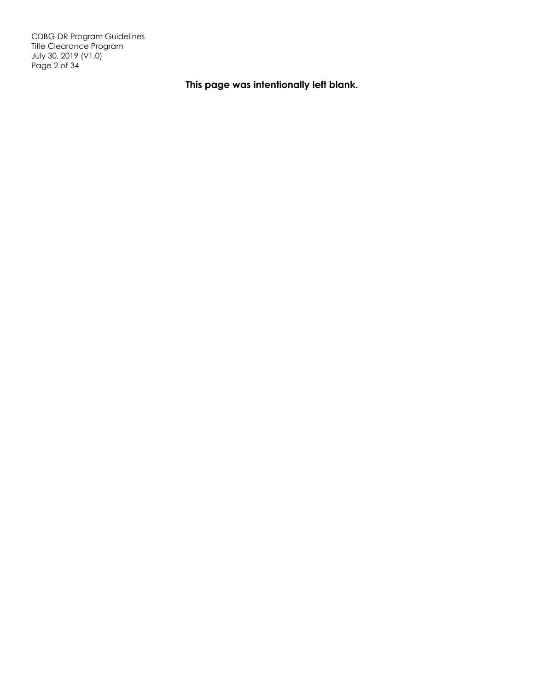CDBG-DR Program Guidelines Title Clearance Program July 30, 2019 (V1.0) Page 2 of 34

**This page was intentionally left blank.**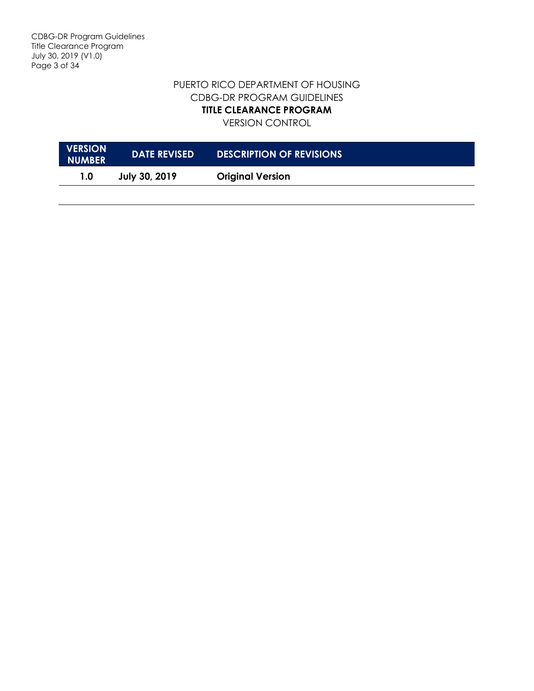## PUERTO RICO DEPARTMENT OF HOUSING CDBG-DR PROGRAM GUIDELINES **TITLE CLEARANCE PROGRAM**

VERSION CONTROL

| <b>VERSION</b><br><b>NUMBER</b> | <b>DATE REVISED</b>  | <b>DESCRIPTION OF REVISIONS</b> |
|---------------------------------|----------------------|---------------------------------|
| 1.0                             | <b>July 30, 2019</b> | <b>Original Version</b>         |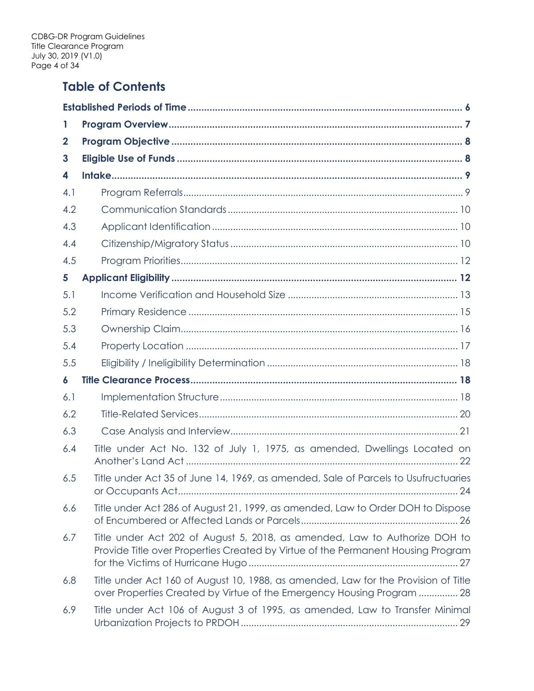# **Table of Contents**

| 1                |                                                                                                                                                                |  |  |  |
|------------------|----------------------------------------------------------------------------------------------------------------------------------------------------------------|--|--|--|
| $\mathbf 2$      |                                                                                                                                                                |  |  |  |
| 3                |                                                                                                                                                                |  |  |  |
| 4                |                                                                                                                                                                |  |  |  |
| 4.1              |                                                                                                                                                                |  |  |  |
| 4.2              |                                                                                                                                                                |  |  |  |
| 4.3              |                                                                                                                                                                |  |  |  |
| 4.4              |                                                                                                                                                                |  |  |  |
| 4.5              |                                                                                                                                                                |  |  |  |
| 5                |                                                                                                                                                                |  |  |  |
| 5.1              |                                                                                                                                                                |  |  |  |
| 5.2              |                                                                                                                                                                |  |  |  |
| 5.3              |                                                                                                                                                                |  |  |  |
| 5.4              |                                                                                                                                                                |  |  |  |
| 5.5              |                                                                                                                                                                |  |  |  |
| $\boldsymbol{6}$ |                                                                                                                                                                |  |  |  |
| 6.1              |                                                                                                                                                                |  |  |  |
| 6.2              |                                                                                                                                                                |  |  |  |
| 6.3              |                                                                                                                                                                |  |  |  |
| 6.4              | Title under Act No. 132 of July 1, 1975, as amended, Dwellings Located on                                                                                      |  |  |  |
| 6.5              | Title under Act 35 of June 14, 1969, as amended, Sale of Parcels to Usufructuaries                                                                             |  |  |  |
| 6.6              | Title under Act 286 of August 21, 1999, as amended, Law to Order DOH to Dispose                                                                                |  |  |  |
| 6.7              | Title under Act 202 of August 5, 2018, as amended, Law to Authorize DOH to<br>Provide Title over Properties Created by Virtue of the Permanent Housing Program |  |  |  |
| 6.8              | Title under Act 160 of August 10, 1988, as amended, Law for the Provision of Title<br>over Properties Created by Virtue of the Emergency Housing Program  28   |  |  |  |
| 6.9              | Title under Act 106 of August 3 of 1995, as amended, Law to Transfer Minimal                                                                                   |  |  |  |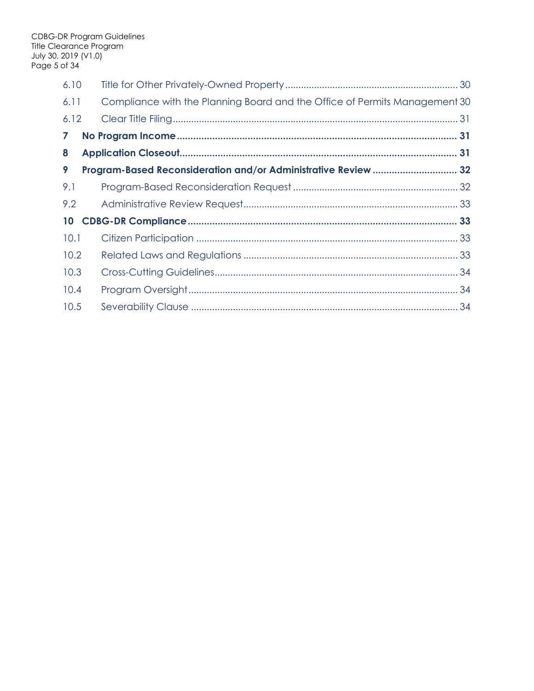| 6.10 |                                                                            |  |
|------|----------------------------------------------------------------------------|--|
| 6.11 | Compliance with the Planning Board and the Office of Permits Management 30 |  |
| 6.12 |                                                                            |  |
| 7    |                                                                            |  |
| 8    |                                                                            |  |
| 9    | Program-Based Reconsideration and/or Administrative Review  32             |  |
| 9.1  |                                                                            |  |
| 9.2  |                                                                            |  |
| 10   |                                                                            |  |
| 10.1 |                                                                            |  |
| 10.2 |                                                                            |  |
| 10.3 |                                                                            |  |
| 10.4 |                                                                            |  |
| 10.5 |                                                                            |  |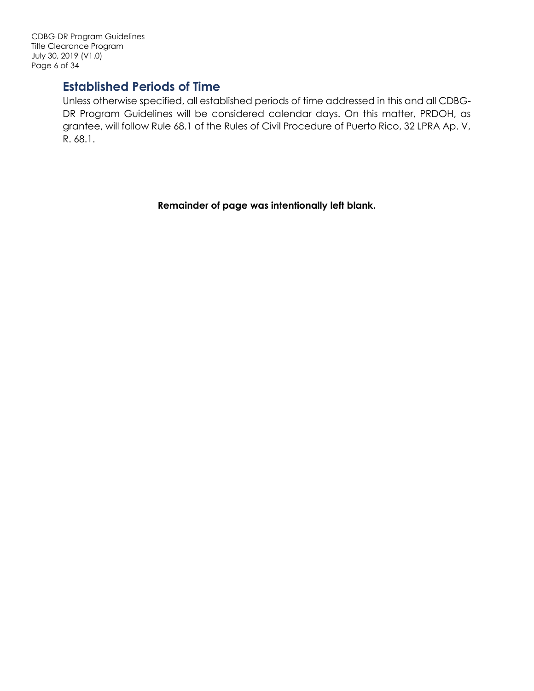CDBG-DR Program Guidelines Title Clearance Program July 30, 2019 (V1.0) Page 6 of 34

# <span id="page-5-0"></span>**Established Periods of Time**

Unless otherwise specified, all established periods of time addressed in this and all CDBG-DR Program Guidelines will be considered calendar days. On this matter, PRDOH, as grantee, will follow Rule 68.1 of the Rules of Civil Procedure of Puerto Rico, 32 LPRA Ap. V, R. 68.1.

**Remainder of page was intentionally left blank.**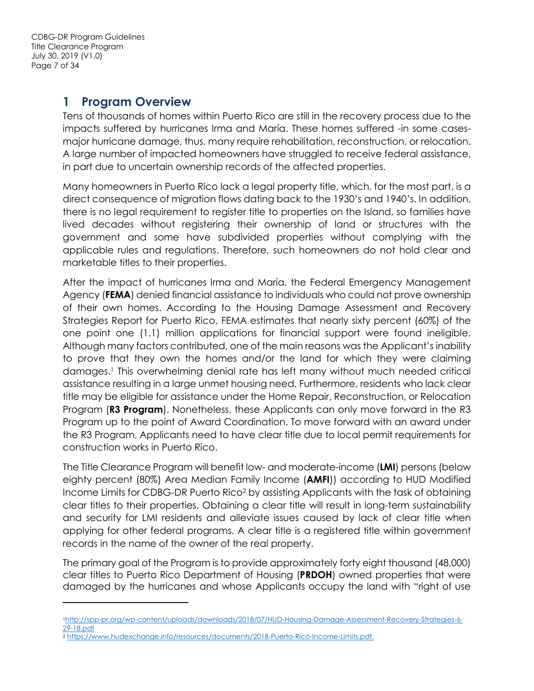CDBG-DR Program Guidelines Title Clearance Program July 30, 2019 (V1.0) Page 7 of 34

l

# <span id="page-6-0"></span>**1 Program Overview**

Tens of thousands of homes within Puerto Rico are still in the recovery process due to the impacts suffered by hurricanes Irma and María. These homes suffered -in some casesmajor hurricane damage, thus, many require rehabilitation, reconstruction, or relocation. A large number of impacted homeowners have struggled to receive federal assistance, in part due to uncertain ownership records of the affected properties.

Many homeowners in Puerto Rico lack a legal property title, which, for the most part, is a direct consequence of migration flows dating back to the 1930's and 1940's. In addition, there is no legal requirement to register title to properties on the Island, so families have lived decades without registering their ownership of land or structures with the government and some have subdivided properties without complying with the applicable rules and regulations. Therefore, such homeowners do not hold clear and marketable titles to their properties.

After the impact of hurricanes Irma and María, the Federal Emergency Management Agency (**FEMA**) denied financial assistance to individuals who could not prove ownership of their own homes. According to the Housing Damage Assessment and Recovery Strategies Report for Puerto Rico, FEMA estimates that nearly sixty percent (60%) of the one point one (1.1) million applications for financial support were found ineligible. Although many factors contributed, one of the main reasons was the Applicant's inability to prove that they own the homes and/or the land for which they were claiming damages. <sup>1</sup> This overwhelming denial rate has left many without much needed critical assistance resulting in a large unmet housing need. Furthermore, residents who lack clear title may be eligible for assistance under the Home Repair, Reconstruction, or Relocation Program (**R3 Program**). Nonetheless, these Applicants can only move forward in the R3 Program up to the point of Award Coordination. To move forward with an award under the R3 Program, Applicants need to have clear title due to local permit requirements for construction works in Puerto Rico.

The Title Clearance Program will benefit low- and moderate-income (**LMI**) persons (below eighty percent (80%) Area Median Family Income (**AMFI**)) according to HUD Modified Income Limits for CDBG-DR Puerto Rico<sup>2</sup> by assisting Applicants with the task of obtaining clear titles to their properties. Obtaining a clear title will result in long-term sustainability and security for LMI residents and alleviate issues caused by lack of clear title when applying for other federal programs. A clear title is a registered title within government records in the name of the owner of the real property.

The primary goal of the Program is to provide approximately forty eight thousand (48,000) clear titles to Puerto Rico Department of Housing (**PRDOH**) owned properties that were damaged by the hurricanes and whose Applicants occupy the land with "right of use

<sup>1</sup>[http://spp-pr.org/wp-content/uploads/downloads/2018/07/HUD-Housing-Damage-Assessment-Recovery-Strategies-6-](http://spp-pr.org/wp-content/uploads/downloads/2018/07/HUD-Housing-Damage-Assessment-Recovery-Strategies-6-29-18.pdf) [29-18.pdf](http://spp-pr.org/wp-content/uploads/downloads/2018/07/HUD-Housing-Damage-Assessment-Recovery-Strategies-6-29-18.pdf)

<sup>2</sup> [https://www.hudexchange.info/resources/documents/2018-Puerto-Rico-Income-Limits.pdf.](https://www.hudexchange.info/resources/documents/2018-Puerto-Rico-Income-Limits.pdf)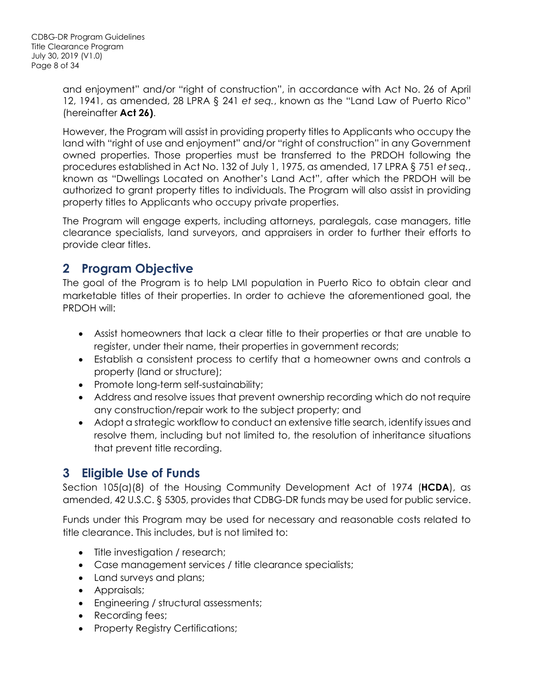CDBG-DR Program Guidelines Title Clearance Program July 30, 2019 (V1.0) Page 8 of 34

> and enjoyment" and/or "right of construction", in accordance with Act No. 26 of April 12, 1941, as amended, 28 LPRA § 241 *et seq.*, known as the "Land Law of Puerto Rico" (hereinafter **Act 26)**.

> However, the Program will assist in providing property titles to Applicants who occupy the land with "right of use and enjoyment" and/or "right of construction" in any Government owned properties. Those properties must be transferred to the PRDOH following the procedures established in Act No. 132 of July 1, 1975, as amended, 17 LPRA § 751 *et seq.*, known as "Dwellings Located on Another's Land Act", after which the PRDOH will be authorized to grant property titles to individuals. The Program will also assist in providing property titles to Applicants who occupy private properties.

> The Program will engage experts, including attorneys, paralegals, case managers, title clearance specialists, land surveyors, and appraisers in order to further their efforts to provide clear titles.

# <span id="page-7-0"></span>**2 Program Objective**

The goal of the Program is to help LMI population in Puerto Rico to obtain clear and marketable titles of their properties. In order to achieve the aforementioned goal, the PRDOH will:

- Assist homeowners that lack a clear title to their properties or that are unable to register, under their name, their properties in government records;
- Establish a consistent process to certify that a homeowner owns and controls a property (land or structure);
- Promote long-term self-sustainability;
- Address and resolve issues that prevent ownership recording which do not require any construction/repair work to the subject property; and
- Adopt a strategic workflow to conduct an extensive title search, identify issues and resolve them, including but not limited to, the resolution of inheritance situations that prevent title recording.

# <span id="page-7-1"></span>**3 Eligible Use of Funds**

Section 105(a)(8) of the Housing Community Development Act of 1974 (**HCDA**), as amended, 42 U.S.C. § 5305, provides that CDBG-DR funds may be used for public service.

Funds under this Program may be used for necessary and reasonable costs related to title clearance. This includes, but is not limited to:

- Title investigation / research;
- Case management services / title clearance specialists;
- Land surveys and plans;
- Appraisals;
- Engineering / structural assessments;
- Recording fees;
- Property Registry Certifications;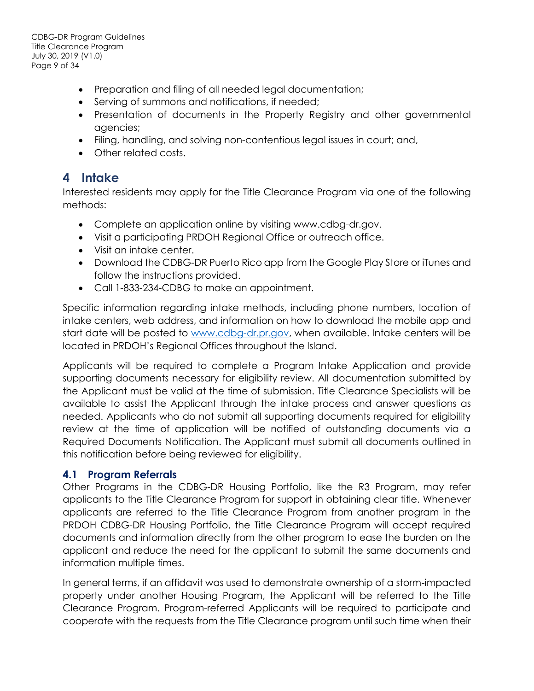CDBG-DR Program Guidelines Title Clearance Program July 30, 2019 (V1.0) Page 9 of 34

- Preparation and filing of all needed legal documentation;
- Serving of summons and notifications, if needed;
- Presentation of documents in the Property Registry and other governmental agencies;
- Filing, handling, and solving non-contentious legal issues in court; and,
- Other related costs.

# <span id="page-8-0"></span>**4 Intake**

Interested residents may apply for the Title Clearance Program via one of the following methods:

- Complete an application online by visiting www.cdbg-dr.gov.
- Visit a participating PRDOH Regional Office or outreach office.
- Visit an intake center.
- Download the CDBG-DR Puerto Rico app from the Google Play Store or iTunes and follow the instructions provided.
- Call 1-833-234-CDBG to make an appointment.

Specific information regarding intake methods, including phone numbers, location of intake centers, web address, and information on how to download the mobile app and start date will be posted to [www.cdbg-dr.pr.gov,](http://www.cdbg-dr.pr.gov/) when available. Intake centers will be located in PRDOH's Regional Offices throughout the Island.

Applicants will be required to complete a Program Intake Application and provide supporting documents necessary for eligibility review. All documentation submitted by the Applicant must be valid at the time of submission. Title Clearance Specialists will be available to assist the Applicant through the intake process and answer questions as needed. Applicants who do not submit all supporting documents required for eligibility review at the time of application will be notified of outstanding documents via a Required Documents Notification. The Applicant must submit all documents outlined in this notification before being reviewed for eligibility.

## <span id="page-8-1"></span>**4.1 Program Referrals**

Other Programs in the CDBG-DR Housing Portfolio, like the R3 Program, may refer applicants to the Title Clearance Program for support in obtaining clear title. Whenever applicants are referred to the Title Clearance Program from another program in the PRDOH CDBG-DR Housing Portfolio, the Title Clearance Program will accept required documents and information directly from the other program to ease the burden on the applicant and reduce the need for the applicant to submit the same documents and information multiple times.

In general terms, if an affidavit was used to demonstrate ownership of a storm-impacted property under another Housing Program, the Applicant will be referred to the Title Clearance Program. Program-referred Applicants will be required to participate and cooperate with the requests from the Title Clearance program until such time when their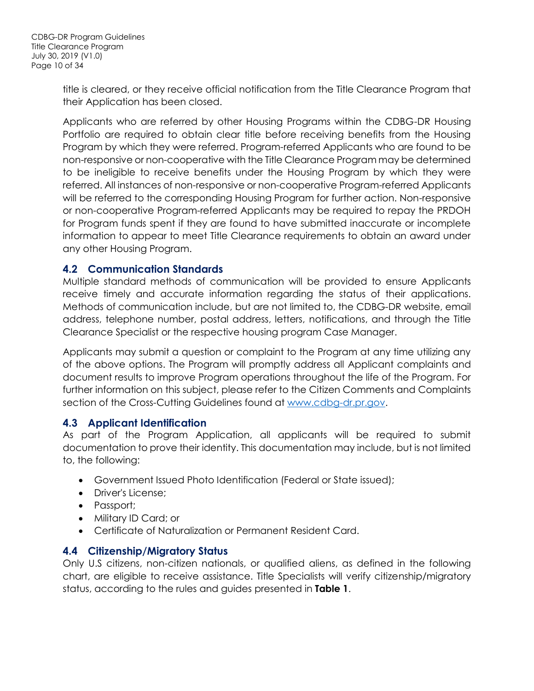title is cleared, or they receive official notification from the Title Clearance Program that their Application has been closed.

Applicants who are referred by other Housing Programs within the CDBG-DR Housing Portfolio are required to obtain clear title before receiving benefits from the Housing Program by which they were referred. Program-referred Applicants who are found to be non-responsive or non-cooperative with the Title Clearance Program may be determined to be ineligible to receive benefits under the Housing Program by which they were referred. All instances of non-responsive or non-cooperative Program-referred Applicants will be referred to the corresponding Housing Program for further action. Non-responsive or non-cooperative Program-referred Applicants may be required to repay the PRDOH for Program funds spent if they are found to have submitted inaccurate or incomplete information to appear to meet Title Clearance requirements to obtain an award under any other Housing Program.

## <span id="page-9-0"></span>**4.2 Communication Standards**

Multiple standard methods of communication will be provided to ensure Applicants receive timely and accurate information regarding the status of their applications. Methods of communication include, but are not limited to, the CDBG-DR website, email address, telephone number, postal address, letters, notifications, and through the Title Clearance Specialist or the respective housing program Case Manager.

Applicants may submit a question or complaint to the Program at any time utilizing any of the above options. The Program will promptly address all Applicant complaints and document results to improve Program operations throughout the life of the Program. For further information on this subject, please refer to the Citizen Comments and Complaints section of the Cross-Cutting Guidelines found at [www.cdbg-dr.pr.gov.](http://www.cdbg-dr.pr.gov/)

#### <span id="page-9-1"></span>**4.3 Applicant Identification**

As part of the Program Application, all applicants will be required to submit documentation to prove their identity. This documentation may include, but is not limited to, the following:

- Government Issued Photo Identification (Federal or State issued);
- Driver's License:
- Passport;
- Military ID Card; or
- Certificate of Naturalization or Permanent Resident Card.

## <span id="page-9-2"></span>**4.4 Citizenship/Migratory Status**

Only U.S citizens, non-citizen nationals, or qualified aliens, as defined in the following chart, are eligible to receive assistance. Title Specialists will verify citizenship/migratory status, according to the rules and guides presented in **[Table 1](#page-10-0)**.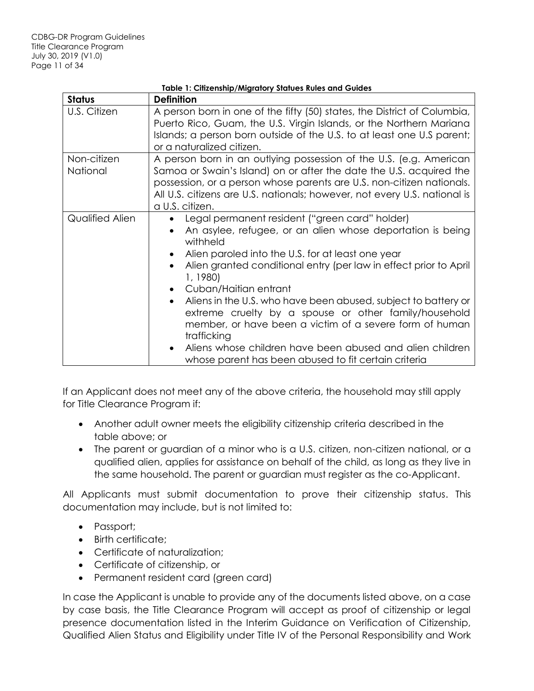<span id="page-10-0"></span>

| Table 1: Citizenship/Migratory Statues Rules and Guides |                                                                                                                                                                                                                                                                                                                                                                                                                                                                                                                                                                                                                                                          |  |  |  |
|---------------------------------------------------------|----------------------------------------------------------------------------------------------------------------------------------------------------------------------------------------------------------------------------------------------------------------------------------------------------------------------------------------------------------------------------------------------------------------------------------------------------------------------------------------------------------------------------------------------------------------------------------------------------------------------------------------------------------|--|--|--|
| <b>Status</b>                                           | <b>Definition</b>                                                                                                                                                                                                                                                                                                                                                                                                                                                                                                                                                                                                                                        |  |  |  |
| U.S. Citizen                                            | A person born in one of the fifty (50) states, the District of Columbia,<br>Puerto Rico, Guam, the U.S. Virgin Islands, or the Northern Mariana<br>Islands; a person born outside of the U.S. to at least one U.S parent;<br>or a naturalized citizen.                                                                                                                                                                                                                                                                                                                                                                                                   |  |  |  |
| Non-citizen<br>National                                 | A person born in an outlying possession of the U.S. (e.g. American<br>Samoa or Swain's Island) on or after the date the U.S. acquired the<br>possession, or a person whose parents are U.S. non-citizen nationals.<br>All U.S. citizens are U.S. nationals; however, not every U.S. national is<br>a U.S. citizen.                                                                                                                                                                                                                                                                                                                                       |  |  |  |
| Qualified Alien                                         | Legal permanent resident ("green card" holder)<br>An asylee, refugee, or an alien whose deportation is being<br>withheld<br>Alien paroled into the U.S. for at least one year<br>$\bullet$<br>Alien granted conditional entry (per law in effect prior to April<br>1, 1980)<br>Cuban/Haitian entrant<br>Aliens in the U.S. who have been abused, subject to battery or<br>$\bullet$<br>extreme cruelty by a spouse or other family/household<br>member, or have been a victim of a severe form of human<br>trafficking<br>Aliens whose children have been abused and alien children<br>$\bullet$<br>whose parent has been abused to fit certain criteria |  |  |  |

If an Applicant does not meet any of the above criteria, the household may still apply for Title Clearance Program if:

- Another adult owner meets the eligibility citizenship criteria described in the table above; or
- The parent or guardian of a minor who is a U.S. citizen, non-citizen national, or a qualified alien, applies for assistance on behalf of the child, as long as they live in the same household. The parent or guardian must register as the co-Applicant.

All Applicants must submit documentation to prove their citizenship status. This documentation may include, but is not limited to:

- Passport;
- Birth certificate;
- Certificate of naturalization;
- Certificate of citizenship, or
- Permanent resident card (green card)

In case the Applicant is unable to provide any of the documents listed above, on a case by case basis, the Title Clearance Program will accept as proof of citizenship or legal presence documentation listed in the Interim Guidance on Verification of Citizenship, Qualified Alien Status and Eligibility under Title IV of the Personal Responsibility and Work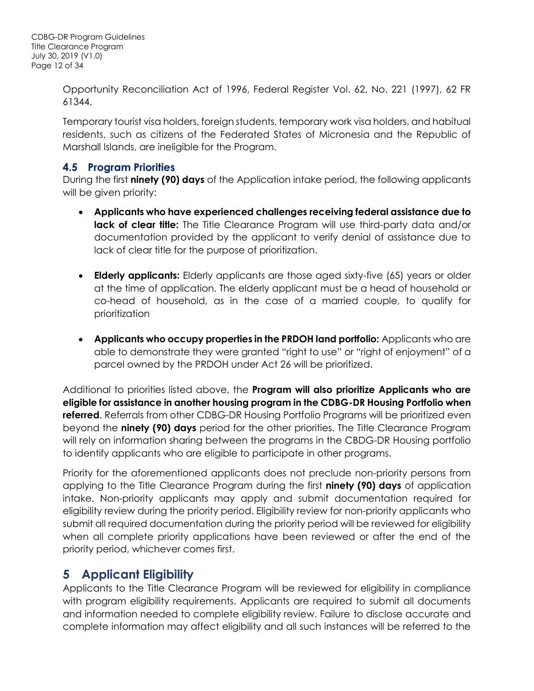CDBG-DR Program Guidelines Title Clearance Program July 30, 2019 (V1.0) Page 12 of 34

> Opportunity Reconciliation Act of 1996, Federal Register Vol. 62, No. 221 (1997), 62 FR 61344.

> Temporary tourist visa holders, foreign students, temporary work visa holders, and habitual residents, such as citizens of the Federated States of Micronesia and the Republic of Marshall Islands, are ineligible for the Program.

## <span id="page-11-0"></span>**4.5 Program Priorities**

During the first **ninety (90) days** of the Application intake period, the following applicants will be given priority:

- **Applicants who have experienced challenges receiving federal assistance due to lack of clear title:** The Title Clearance Program will use third-party data and/or documentation provided by the applicant to verify denial of assistance due to lack of clear title for the purpose of prioritization.
- **Elderly applicants:** Elderly applicants are those aged sixty-five (65) years or older at the time of application. The elderly applicant must be a head of household or co-head of household, as in the case of a married couple, to qualify for prioritization
- **Applicants who occupy properties in the PRDOH land portfolio:** Applicants who are able to demonstrate they were granted "right to use" or "right of enjoyment" of a parcel owned by the PRDOH under Act 26 will be prioritized.

Additional to priorities listed above, the **Program will also prioritize Applicants who are eligible for assistance in another housing program in the CDBG-DR Housing Portfolio when referred**. Referrals from other CDBG-DR Housing Portfolio Programs will be prioritized even beyond the **ninety (90) days** period for the other priorities. The Title Clearance Program will rely on information sharing between the programs in the CBDG-DR Housing portfolio to identify applicants who are eligible to participate in other programs.

Priority for the aforementioned applicants does not preclude non-priority persons from applying to the Title Clearance Program during the first **ninety (90) days** of application intake. Non-priority applicants may apply and submit documentation required for eligibility review during the priority period. Eligibility review for non-priority applicants who submit all required documentation during the priority period will be reviewed for eligibility when all complete priority applications have been reviewed or after the end of the priority period, whichever comes first.

# <span id="page-11-1"></span>**5 Applicant Eligibility**

Applicants to the Title Clearance Program will be reviewed for eligibility in compliance with program eligibility requirements. Applicants are required to submit all documents and information needed to complete eligibility review. Failure to disclose accurate and complete information may affect eligibility and all such instances will be referred to the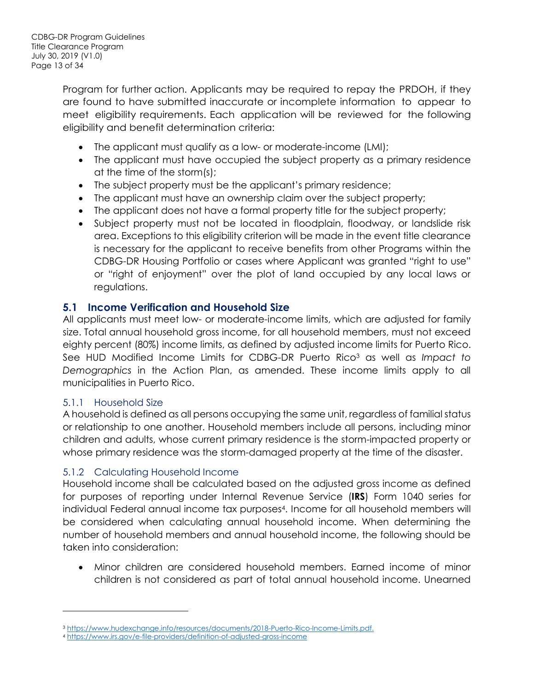Program for further action. Applicants may be required to repay the PRDOH, if they are found to have submitted inaccurate or incomplete information to appear to meet eligibility requirements. Each application will be reviewed for the following eligibility and benefit determination criteria:

- The applicant must qualify as a low- or moderate-income (LMI);
- The applicant must have occupied the subject property as a primary residence at the time of the storm(s);
- The subject property must be the applicant's primary residence;
- The applicant must have an ownership claim over the subject property;
- The applicant does not have a formal property title for the subject property;
- Subject property must not be located in floodplain, floodway, or landslide risk area. Exceptions to this eligibility criterion will be made in the event title clearance is necessary for the applicant to receive benefits from other Programs within the CDBG-DR Housing Portfolio or cases where Applicant was granted "right to use" or "right of enjoyment" over the plot of land occupied by any local laws or regulations.

## <span id="page-12-0"></span>**5.1 Income Verification and Household Size**

All applicants must meet low- or moderate-income limits, which are adjusted for family size. Total annual household gross income, for all household members, must not exceed eighty percent (80%) income limits, as defined by adjusted income limits for Puerto Rico. See HUD Modified Income Limits for CDBG-DR Puerto Rico<sup>3</sup> as well as *Impact to Demographics* in the Action Plan, as amended. These income limits apply to all municipalities in Puerto Rico.

#### 5.1.1 Household Size

l

A household is defined as all persons occupying the same unit, regardless of familial status or relationship to one another. Household members include all persons, including minor children and adults, whose current primary residence is the storm-impacted property or whose primary residence was the storm-damaged property at the time of the disaster.

#### 5.1.2 Calculating Household Income

Household income shall be calculated based on the adjusted gross income as defined for purposes of reporting under Internal Revenue Service (**IRS**) Form 1040 series for individual Federal annual income tax purposes<sup>4</sup>. Income for all household members will be considered when calculating annual household income. When determining the number of household members and annual household income, the following should be taken into consideration:

 Minor children are considered household members. Earned income of minor children is not considered as part of total annual household income. Unearned

<sup>3</sup> [https://www.hudexchange.info/resources/documents/2018-Puerto-Rico-Income-Limits.pdf.](https://www.hudexchange.info/resources/documents/2018-Puerto-Rico-Income-Limits.pdf)

<sup>4</sup> <https://www.irs.gov/e-file-providers/definition-of-adjusted-gross-income>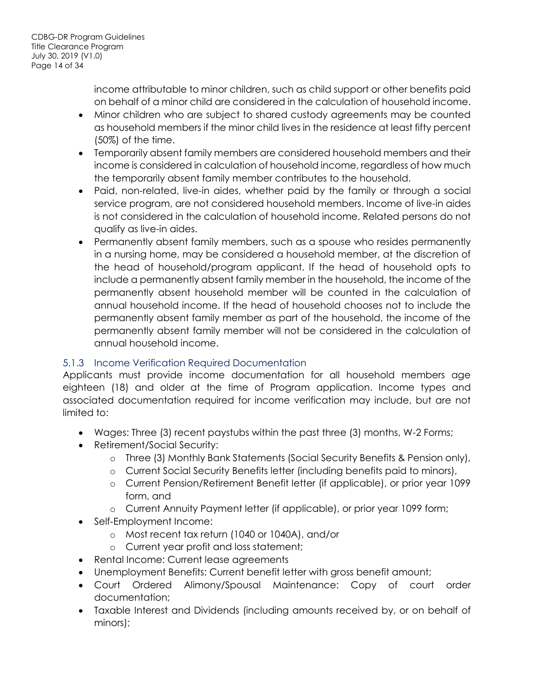income attributable to minor children, such as child support or other benefits paid on behalf of a minor child are considered in the calculation of household income.

- Minor children who are subject to shared custody agreements may be counted as household members if the minor child lives in the residence at least fifty percent (50%) of the time.
- Temporarily absent family members are considered household members and their income is considered in calculation of household income, regardless of how much the temporarily absent family member contributes to the household.
- Paid, non-related, live-in aides, whether paid by the family or through a social service program, are not considered household members. Income of live-in aides is not considered in the calculation of household income. Related persons do not qualify as live-in aides.
- Permanently absent family members, such as a spouse who resides permanently in a nursing home, may be considered a household member, at the discretion of the head of household/program applicant. If the head of household opts to include a permanently absent family member in the household, the income of the permanently absent household member will be counted in the calculation of annual household income. If the head of household chooses not to include the permanently absent family member as part of the household, the income of the permanently absent family member will not be considered in the calculation of annual household income.

## 5.1.3 Income Verification Required Documentation

Applicants must provide income documentation for all household members age eighteen (18) and older at the time of Program application. Income types and associated documentation required for income verification may include, but are not limited to:

- Wages: Three (3) recent paystubs within the past three (3) months, W-2 Forms;
- Retirement/Social Security:
	- o Three (3) Monthly Bank Statements (Social Security Benefits & Pension only),
	- o Current Social Security Benefits letter (including benefits paid to minors),
	- o Current Pension/Retirement Benefit letter (if applicable), or prior year 1099 form, and
	- o Current Annuity Payment letter (if applicable), or prior year 1099 form;
- Self-Employment Income:
	- o Most recent tax return (1040 or 1040A), and/or
	- o Current year profit and loss statement;
- Rental Income: Current lease agreements
- Unemployment Benefits: Current benefit letter with gross benefit amount;
- Court Ordered Alimony/Spousal Maintenance: Copy of court order documentation;
- Taxable Interest and Dividends (including amounts received by, or on behalf of minors);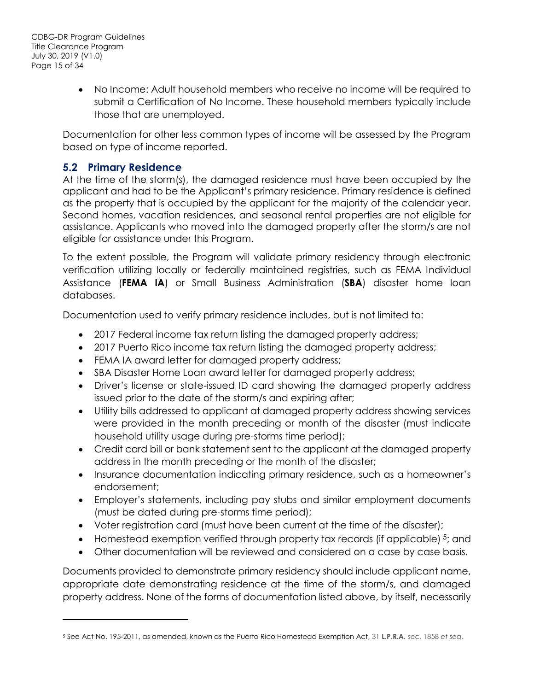l

 No Income: Adult household members who receive no income will be required to submit a Certification of No Income. These household members typically include those that are unemployed.

Documentation for other less common types of income will be assessed by the Program based on type of income reported.

## <span id="page-14-0"></span>**5.2 Primary Residence**

At the time of the storm(s), the damaged residence must have been occupied by the applicant and had to be the Applicant's primary residence. Primary residence is defined as the property that is occupied by the applicant for the majority of the calendar year. Second homes, vacation residences, and seasonal rental properties are not eligible for assistance. Applicants who moved into the damaged property after the storm/s are not eligible for assistance under this Program.

To the extent possible, the Program will validate primary residency through electronic verification utilizing locally or federally maintained registries, such as FEMA Individual Assistance (**FEMA IA**) or Small Business Administration (**SBA**) disaster home loan databases.

Documentation used to verify primary residence includes, but is not limited to:

- 2017 Federal income tax return listing the damaged property address;
- 2017 Puerto Rico income tax return listing the damaged property address;
- FEMA IA award letter for damaged property address;
- SBA Disaster Home Loan award letter for damaged property address;
- Driver's license or state-issued ID card showing the damaged property address issued prior to the date of the storm/s and expiring after;
- Utility bills addressed to applicant at damaged property address showing services were provided in the month preceding or month of the disaster (must indicate household utility usage during pre-storms time period);
- Credit card bill or bank statement sent to the applicant at the damaged property address in the month preceding or the month of the disaster;
- Insurance documentation indicating primary residence, such as a homeowner's endorsement;
- Employer's statements, including pay stubs and similar employment documents (must be dated during pre-storms time period);
- Voter registration card (must have been current at the time of the disaster);
- $\bullet$  Homestead exemption verified through property tax records (if applicable)  $5$ ; and
- Other documentation will be reviewed and considered on a case by case basis.

Documents provided to demonstrate primary residency should include applicant name, appropriate date demonstrating residence at the time of the storm/s, and damaged property address. None of the forms of documentation listed above, by itself, necessarily

<sup>5</sup> See Act No. 195-2011, as amended, known as the Puerto Rico Homestead Exemption Act, 31 **L.P.R.A.** sec. 1858 *et seq*.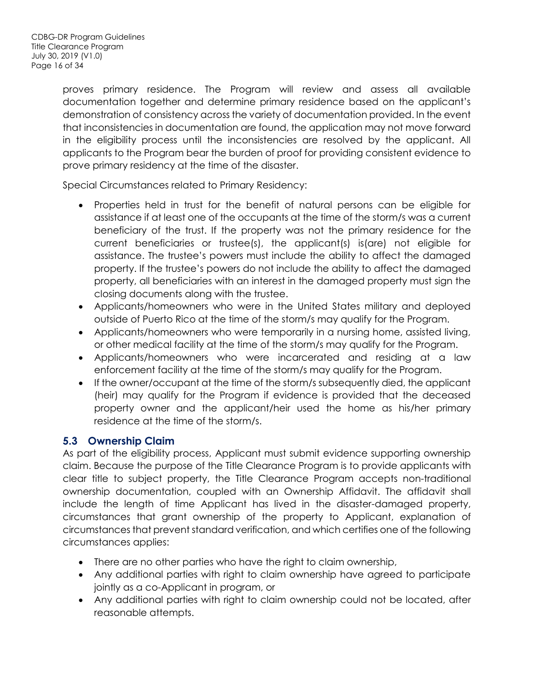proves primary residence. The Program will review and assess all available documentation together and determine primary residence based on the applicant's demonstration of consistency across the variety of documentation provided. In the event that inconsistencies in documentation are found, the application may not move forward in the eligibility process until the inconsistencies are resolved by the applicant. All applicants to the Program bear the burden of proof for providing consistent evidence to prove primary residency at the time of the disaster.

Special Circumstances related to Primary Residency:

- Properties held in trust for the benefit of natural persons can be eligible for assistance if at least one of the occupants at the time of the storm/s was a current beneficiary of the trust. If the property was not the primary residence for the current beneficiaries or trustee(s), the applicant(s) is(are) not eligible for assistance. The trustee's powers must include the ability to affect the damaged property. If the trustee's powers do not include the ability to affect the damaged property, all beneficiaries with an interest in the damaged property must sign the closing documents along with the trustee.
- Applicants/homeowners who were in the United States military and deployed outside of Puerto Rico at the time of the storm/s may qualify for the Program.
- Applicants/homeowners who were temporarily in a nursing home, assisted living, or other medical facility at the time of the storm/s may qualify for the Program.
- Applicants/homeowners who were incarcerated and residing at a law enforcement facility at the time of the storm/s may qualify for the Program.
- If the owner/occupant at the time of the storm/s subsequently died, the applicant (heir) may qualify for the Program if evidence is provided that the deceased property owner and the applicant/heir used the home as his/her primary residence at the time of the storm/s.

# <span id="page-15-0"></span>**5.3 Ownership Claim**

As part of the eligibility process, Applicant must submit evidence supporting ownership claim. Because the purpose of the Title Clearance Program is to provide applicants with clear title to subject property, the Title Clearance Program accepts non-traditional ownership documentation, coupled with an Ownership Affidavit. The affidavit shall include the length of time Applicant has lived in the disaster-damaged property, circumstances that grant ownership of the property to Applicant, explanation of circumstances that prevent standard verification, and which certifies one of the following circumstances applies:

- There are no other parties who have the right to claim ownership,
- Any additional parties with right to claim ownership have agreed to participate jointly as a co-Applicant in program, or
- Any additional parties with right to claim ownership could not be located, after reasonable attempts.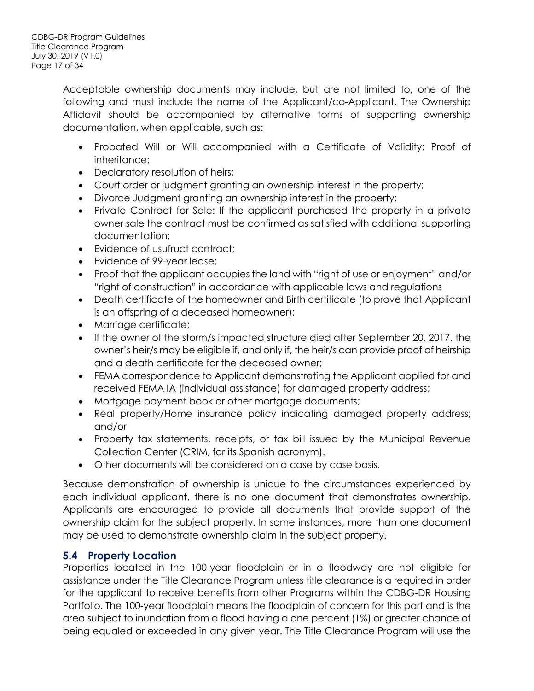Acceptable ownership documents may include, but are not limited to, one of the following and must include the name of the Applicant/co-Applicant. The Ownership Affidavit should be accompanied by alternative forms of supporting ownership documentation, when applicable, such as:

- Probated Will or Will accompanied with a Certificate of Validity; Proof of inheritance;
- Declaratory resolution of heirs;
- Court order or judgment granting an ownership interest in the property;
- Divorce Judgment granting an ownership interest in the property;
- Private Contract for Sale: If the applicant purchased the property in a private owner sale the contract must be confirmed as satisfied with additional supporting documentation;
- Evidence of usufruct contract:
- Evidence of 99-year lease;
- Proof that the applicant occupies the land with "right of use or enjoyment" and/or "right of construction" in accordance with applicable laws and regulations
- Death certificate of the homeowner and Birth certificate (to prove that Applicant is an offspring of a deceased homeowner);
- Marriage certificate;
- If the owner of the storm/s impacted structure died after September 20, 2017, the owner's heir/s may be eligible if, and only if, the heir/s can provide proof of heirship and a death certificate for the deceased owner;
- FEMA correspondence to Applicant demonstrating the Applicant applied for and received FEMA IA (individual assistance) for damaged property address;
- Mortgage payment book or other mortgage documents;
- Real property/Home insurance policy indicating damaged property address; and/or
- Property tax statements, receipts, or tax bill issued by the Municipal Revenue Collection Center (CRIM, for its Spanish acronym).
- Other documents will be considered on a case by case basis.

Because demonstration of ownership is unique to the circumstances experienced by each individual applicant, there is no one document that demonstrates ownership. Applicants are encouraged to provide all documents that provide support of the ownership claim for the subject property. In some instances, more than one document may be used to demonstrate ownership claim in the subject property.

# <span id="page-16-0"></span>**5.4 Property Location**

Properties located in the 100-year floodplain or in a floodway are not eligible for assistance under the Title Clearance Program unless title clearance is a required in order for the applicant to receive benefits from other Programs within the CDBG-DR Housing Portfolio. The 100-year floodplain means the floodplain of concern for this part and is the area subject to inundation from a flood having a one percent (1%) or greater chance of being equaled or exceeded in any given year. The Title Clearance Program will use the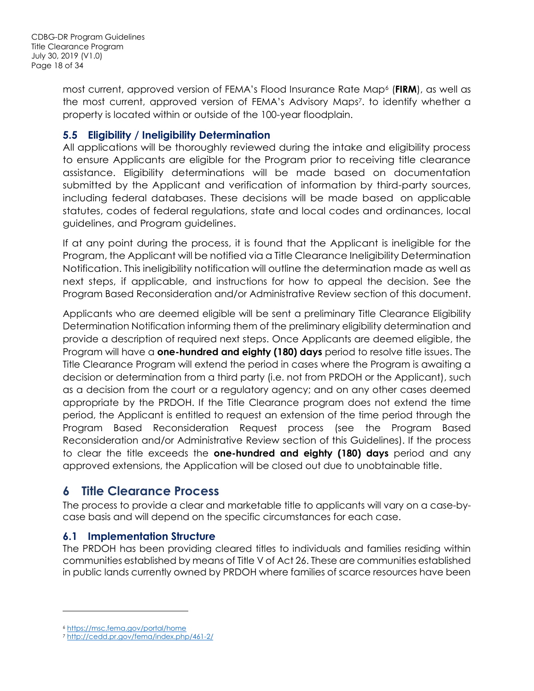most current, approved version of FEMA's Flood Insurance Rate Map<sup>6</sup> (**FIRM**), as well as the most current, approved version of FEMA's Advisory Maps<sup>7</sup> . to identify whether a property is located within or outside of the 100-year floodplain.

## <span id="page-17-0"></span>**5.5 Eligibility / Ineligibility Determination**

All applications will be thoroughly reviewed during the intake and eligibility process to ensure Applicants are eligible for the Program prior to receiving title clearance assistance. Eligibility determinations will be made based on documentation submitted by the Applicant and verification of information by third-party sources, including federal databases. These decisions will be made based on applicable statutes, codes of federal regulations, state and local codes and ordinances, local guidelines, and Program guidelines.

If at any point during the process, it is found that the Applicant is ineligible for the Program, the Applicant will be notified via a Title Clearance Ineligibility Determination Notification. This ineligibility notification will outline the determination made as well as next steps, if applicable, and instructions for how to appeal the decision. See the Program Based Reconsideration and/or Administrative Review section of this document.

Applicants who are deemed eligible will be sent a preliminary Title Clearance Eligibility Determination Notification informing them of the preliminary eligibility determination and provide a description of required next steps. Once Applicants are deemed eligible, the Program will have a **one-hundred and eighty (180) days** period to resolve title issues. The Title Clearance Program will extend the period in cases where the Program is awaiting a decision or determination from a third party (i.e. not from PRDOH or the Applicant), such as a decision from the court or a regulatory agency; and on any other cases deemed appropriate by the PRDOH. If the Title Clearance program does not extend the time period, the Applicant is entitled to request an extension of the time period through the Program Based Reconsideration Request process (see the Program Based Reconsideration and/or Administrative Review section of this Guidelines). If the process to clear the title exceeds the **one-hundred and eighty (180) days** period and any approved extensions, the Application will be closed out due to unobtainable title.

# <span id="page-17-1"></span>**6 Title Clearance Process**

The process to provide a clear and marketable title to applicants will vary on a case-bycase basis and will depend on the specific circumstances for each case.

# <span id="page-17-2"></span>**6.1 Implementation Structure**

The PRDOH has been providing cleared titles to individuals and families residing within communities established by means of Title V of Act 26. These are communities established in public lands currently owned by PRDOH where families of scarce resources have been

l

<sup>6</sup> <https://msc.fema.gov/portal/home>

<sup>7</sup> <http://cedd.pr.gov/fema/index.php/461-2/>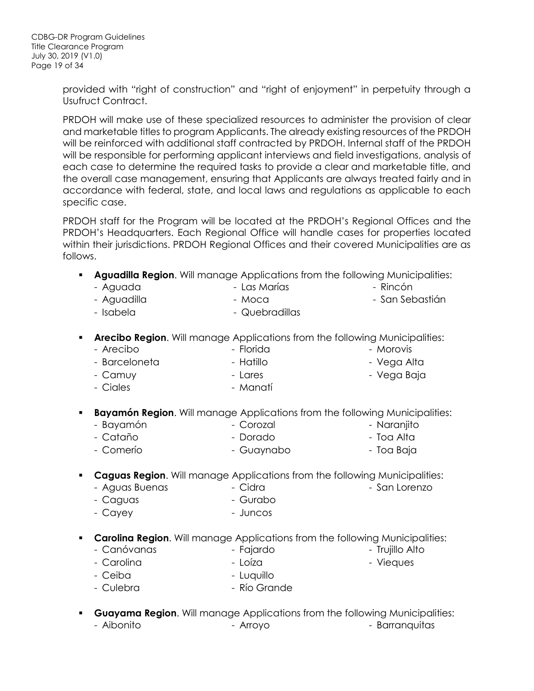provided with "right of construction" and "right of enjoyment" in perpetuity through a Usufruct Contract.

PRDOH will make use of these specialized resources to administer the provision of clear and marketable titles to program Applicants. The already existing resources of the PRDOH will be reinforced with additional staff contracted by PRDOH. Internal staff of the PRDOH will be responsible for performing applicant interviews and field investigations, analysis of each case to determine the required tasks to provide a clear and marketable title, and the overall case management, ensuring that Applicants are always treated fairly and in accordance with federal, state, and local laws and regulations as applicable to each specific case.

PRDOH staff for the Program will be located at the PRDOH's Regional Offices and the PRDOH's Headquarters. Each Regional Office will handle cases for properties located within their jurisdictions. PRDOH Regional Offices and their covered Municipalities are as follows.

- **Aguadilla Region.** Will manage Applications from the following Municipalities:
	- Aguada - Las Marías - Rincón - San Sebastián
	- Aguadilla - Moca
	- Isabela - Quebradillas
- **Arecibo Region.** Will manage Applications from the following Municipalities:
	- Arecibo - Florida
	- Barceloneta
- Hatillo
- Camuy - Lares
- Ciales
	- Manatí
- **Bayamón Region.** Will manage Applications from the following Municipalities:
	- Bayamón - Corozal
	- Cataño - Dorado
	- Comerío - Guaynabo
- **Caguas Region.** Will manage Applications from the following Municipalities:
	- Aguas Buenas - Cidra
		- Caguas - Gurabo
	- Cayey - Juncos

**Caroling Region.** Will manage Applications from the following Municipalities:

- Canóvanas - Carolina
- Fajardo

- Trujillo Alto - Vieques

- Loíza
- Ceiba - Luquillo
- Culebra - Río Grande
- **Guayama Region**. Will manage Applications from the following Municipalities: - Aibonito Arroyo Barranquitas

- Vega Alta

- Morovis

- Vega Baja
- 
- Naranjito
- Toa Alta
- Toa Baja

- San Lorenzo

- 
- -
-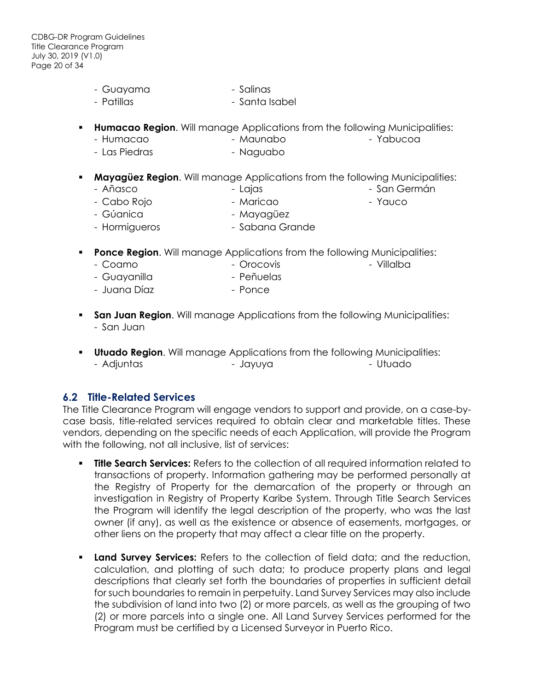- Guayama - Salinas
- Patillas - Santa Isabel
- **Humacao Region.** Will manage Applications from the following Municipalities:

- Yabucoa

- Villalba

- Humacao - Maunabo
- Las Piedras - Naguabo
- **Mayagüez Region.** Will manage Applications from the following Municipalities:
	- Añasco - Lajas - San Germán - Yauco
	- Cabo Rojo - Maricao
	- Gúanica - Mayagüez
	- Hormigueros - Sabana Grande
- **Ponce Region.** Will manage Applications from the following Municipalities:
	- Coamo - Orocovis - Peñuelas
	- Guayanilla
	- Juana Díaz - Ponce
- **San Juan Region.** Will manage Applications from the following Municipalities: - San Juan
- **Utuado Region.** Will manage Applications from the following Municipalities: - Adjuntas Jayuya Utuado

#### <span id="page-19-0"></span>**6.2 Title-Related Services**

The Title Clearance Program will engage vendors to support and provide, on a case-bycase basis, title-related services required to obtain clear and marketable titles. These vendors, depending on the specific needs of each Application, will provide the Program with the following, not all inclusive, list of services:

- **Title Search Services:** Refers to the collection of all required information related to transactions of property. Information gathering may be performed personally at the Registry of Property for the demarcation of the property or through an investigation in Registry of Property Karibe System. Through Title Search Services the Program will identify the legal description of the property, who was the last owner (if any), as well as the existence or absence of easements, mortgages, or other liens on the property that may affect a clear title on the property.
- **Land Survey Services:** Refers to the collection of field data; and the reduction, calculation, and plotting of such data; to produce property plans and legal descriptions that clearly set forth the boundaries of properties in sufficient detail for such boundaries to remain in perpetuity. Land Survey Services may also include the subdivision of land into two (2) or more parcels, as well as the grouping of two (2) or more parcels into a single one. All Land Survey Services performed for the Program must be certified by a Licensed Surveyor in Puerto Rico.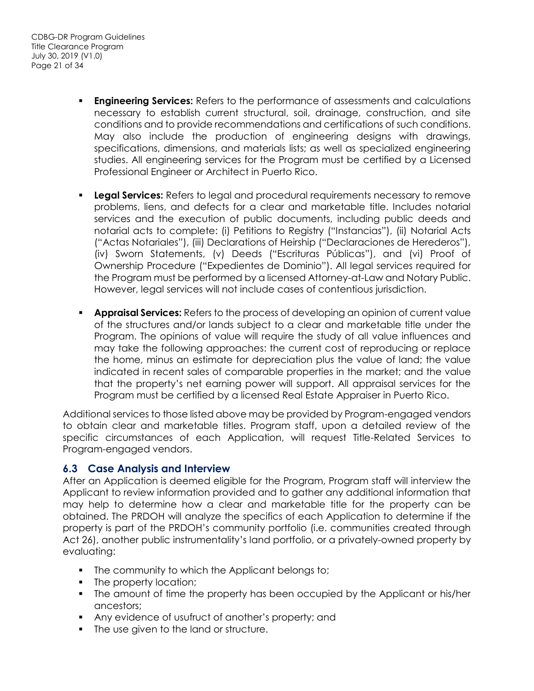- **Engineering Services:** Refers to the performance of assessments and calculations necessary to establish current structural, soil, drainage, construction, and site conditions and to provide recommendations and certifications of such conditions. May also include the production of engineering designs with drawings, specifications, dimensions, and materials lists; as well as specialized engineering studies. All engineering services for the Program must be certified by a Licensed Professional Engineer or Architect in Puerto Rico.
- **Legal Services:** Refers to legal and procedural requirements necessary to remove problems, liens, and defects for a clear and marketable title. Includes notarial services and the execution of public documents, including public deeds and notarial acts to complete: (i) Petitions to Registry ("Instancias"), (ii) Notarial Acts ("Actas Notariales"), (iii) Declarations of Heirship ("Declaraciones de Herederos"), (iv) Sworn Statements, (v) Deeds ("Escrituras Públicas"), and (vi) Proof of Ownership Procedure ("Expedientes de Dominio"). All legal services required for the Program must be performed by a licensed Attorney-at-Law and Notary Public. However, legal services will not include cases of contentious jurisdiction.
- **Appraisal Services:** Refers to the process of developing an opinion of current value of the structures and/or lands subject to a clear and marketable title under the Program. The opinions of value will require the study of all value influences and may take the following approaches: the current cost of reproducing or replace the home, minus an estimate for depreciation plus the value of land; the value indicated in recent sales of comparable properties in the market; and the value that the property's net earning power will support. All appraisal services for the Program must be certified by a licensed Real Estate Appraiser in Puerto Rico.

Additional services to those listed above may be provided by Program-engaged vendors to obtain clear and marketable titles. Program staff, upon a detailed review of the specific circumstances of each Application, will request Title-Related Services to Program-engaged vendors.

#### <span id="page-20-0"></span>**6.3 Case Analysis and Interview**

After an Application is deemed eligible for the Program, Program staff will interview the Applicant to review information provided and to gather any additional information that may help to determine how a clear and marketable title for the property can be obtained. The PRDOH will analyze the specifics of each Application to determine if the property is part of the PRDOH's community portfolio (i.e. communities created through Act 26), another public instrumentality's land portfolio, or a privately-owned property by evaluating:

- The community to which the Applicant belongs to;
- The property location;
- The amount of time the property has been occupied by the Applicant or his/her ancestors;
- Any evidence of usufruct of another's property; and
- The use given to the land or structure.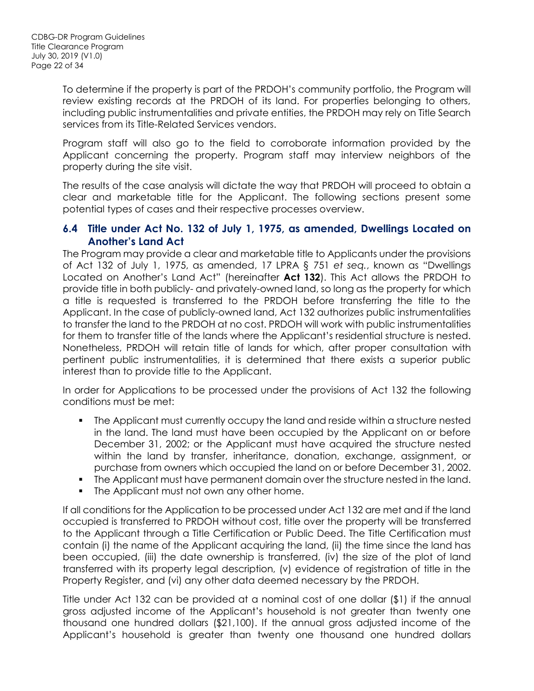To determine if the property is part of the PRDOH's community portfolio, the Program will review existing records at the PRDOH of its land. For properties belonging to others, including public instrumentalities and private entities, the PRDOH may rely on Title Search services from its Title-Related Services vendors.

Program staff will also go to the field to corroborate information provided by the Applicant concerning the property. Program staff may interview neighbors of the property during the site visit.

The results of the case analysis will dictate the way that PRDOH will proceed to obtain a clear and marketable title for the Applicant. The following sections present some potential types of cases and their respective processes overview.

#### <span id="page-21-0"></span>**6.4 Title under Act No. 132 of July 1, 1975, as amended, Dwellings Located on Another's Land Act**

The Program may provide a clear and marketable title to Applicants under the provisions of Act 132 of July 1, 1975, as amended, 17 LPRA § 751 *et seq.*, known as "Dwellings Located on Another's Land Act" (hereinafter **Act 132**). This Act allows the PRDOH to provide title in both publicly- and privately-owned land, so long as the property for which a title is requested is transferred to the PRDOH before transferring the title to the Applicant. In the case of publicly-owned land, Act 132 authorizes public instrumentalities to transfer the land to the PRDOH at no cost. PRDOH will work with public instrumentalities for them to transfer title of the lands where the Applicant's residential structure is nested. Nonetheless, PRDOH will retain title of lands for which, after proper consultation with pertinent public instrumentalities, it is determined that there exists a superior public interest than to provide title to the Applicant.

In order for Applications to be processed under the provisions of Act 132 the following conditions must be met:

- The Applicant must currently occupy the land and reside within a structure nested in the land. The land must have been occupied by the Applicant on or before December 31, 2002; or the Applicant must have acquired the structure nested within the land by transfer, inheritance, donation, exchange, assignment, or purchase from owners which occupied the land on or before December 31, 2002.
- The Applicant must have permanent domain over the structure nested in the land.
- The Applicant must not own any other home.

If all conditions for the Application to be processed under Act 132 are met and if the land occupied is transferred to PRDOH without cost, title over the property will be transferred to the Applicant through a Title Certification or Public Deed. The Title Certification must contain (i) the name of the Applicant acquiring the land, (ii) the time since the land has been occupied, (iii) the date ownership is transferred, (iv) the size of the plot of land transferred with its property legal description, (v) evidence of registration of title in the Property Register, and (vi) any other data deemed necessary by the PRDOH.

Title under Act 132 can be provided at a nominal cost of one dollar (\$1) if the annual gross adjusted income of the Applicant's household is not greater than twenty one thousand one hundred dollars (\$21,100). If the annual gross adjusted income of the Applicant's household is greater than twenty one thousand one hundred dollars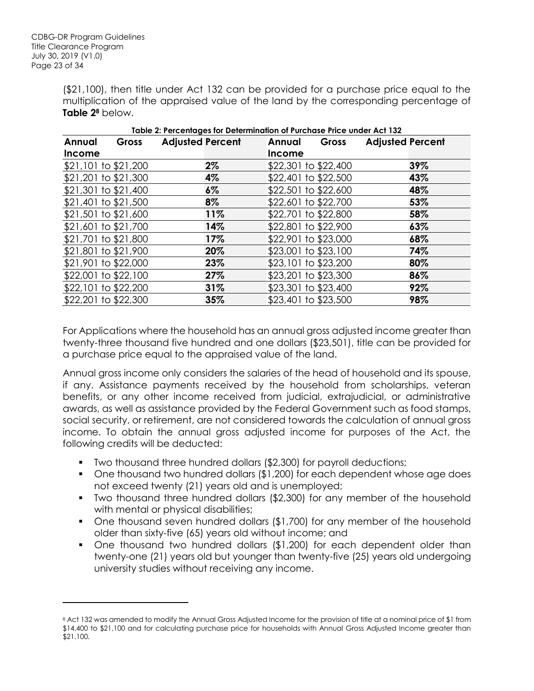l

(\$21,100), then title under Act 132 can be provided for a purchase price equal to the multiplication of the appraised value of the land by the corresponding percentage of **[Table 2](#page-22-0)<sup>8</sup>** below.

<span id="page-22-0"></span>

| Table 2: Percentages for Determination of Purchase Price under Act 132 |              |                         |       |                      |       |                         |     |
|------------------------------------------------------------------------|--------------|-------------------------|-------|----------------------|-------|-------------------------|-----|
| Annual                                                                 | <b>Gross</b> | <b>Adjusted Percent</b> |       | Annual               | Gross | <b>Adjusted Percent</b> |     |
| Income                                                                 |              |                         |       | <b>Income</b>        |       |                         |     |
| \$21,101 to \$21,200                                                   |              |                         | $2\%$ | \$22,301 to \$22,400 |       |                         | 39% |
| \$21,201 to \$21,300                                                   |              |                         | 4%    | \$22,401 to \$22,500 |       |                         | 43% |
| \$21,301 to \$21,400                                                   |              |                         | $6\%$ | \$22,501 to \$22,600 |       |                         | 48% |
| \$21,401 to \$21,500                                                   |              |                         | 8%    | \$22,601 to \$22,700 |       |                         | 53% |
| \$21,501 to \$21,600                                                   |              |                         | 11%   | \$22,701 to \$22,800 |       |                         | 58% |
| \$21,601 to \$21,700                                                   |              |                         | 14%   | \$22,801 to \$22,900 |       |                         | 63% |
| \$21,701 to \$21,800                                                   |              |                         | 17%   | \$22,901 to \$23,000 |       |                         | 68% |
| \$21,801 to \$21,900                                                   |              |                         | 20%   | \$23,001 to \$23,100 |       |                         | 74% |
| \$21,901 to \$22,000                                                   |              |                         | 23%   | \$23,101 to \$23,200 |       |                         | 80% |
| \$22,001 to \$22,100                                                   |              |                         | 27%   | \$23,201 to \$23,300 |       |                         | 86% |
| \$22,101 to \$22,200                                                   |              |                         | 31%   | \$23,301 to \$23,400 |       |                         | 92% |
| \$22,201 to \$22,300                                                   |              |                         | 35%   | \$23,401 to \$23,500 |       |                         | 98% |

For Applications where the household has an annual gross adjusted income greater than twenty-three thousand five hundred and one dollars (\$23,501), title can be provided for a purchase price equal to the appraised value of the land.

Annual gross income only considers the salaries of the head of household and its spouse, if any. Assistance payments received by the household from scholarships, veteran benefits, or any other income received from judicial, extrajudicial, or administrative awards, as well as assistance provided by the Federal Government such as food stamps, social security, or retirement, are not considered towards the calculation of annual gross income. To obtain the annual gross adjusted income for purposes of the Act, the following credits will be deducted:

- Two thousand three hundred dollars (\$2,300) for payroll deductions;
- One thousand two hundred dollars (\$1,200) for each dependent whose age does not exceed twenty (21) years old and is unemployed;
- Two thousand three hundred dollars (\$2,300) for any member of the household with mental or physical disabilities;
- One thousand seven hundred dollars (\$1,700) for any member of the household older than sixty-five (65) years old without income; and
- One thousand two hundred dollars (\$1,200) for each dependent older than twenty-one (21) years old but younger than twenty-five (25) years old undergoing university studies without receiving any income.

<sup>8</sup> Act 132 was amended to modify the Annual Gross Adjusted Income for the provision of title at a nominal price of \$1 from \$14,400 to \$21,100 and for calculating purchase price for households with Annual Gross Adjusted Income greater than \$21,100.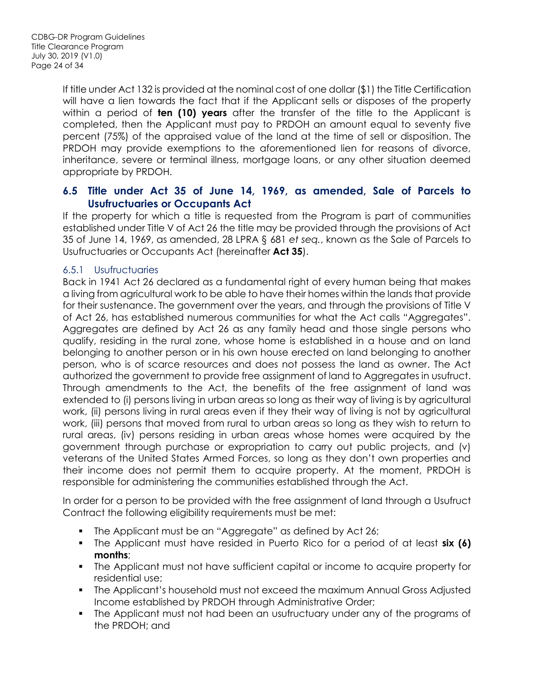If title under Act 132 is provided at the nominal cost of one dollar (\$1) the Title Certification will have a lien towards the fact that if the Applicant sells or disposes of the property within a period of **ten (10) years** after the transfer of the title to the Applicant is completed, then the Applicant must pay to PRDOH an amount equal to seventy five percent (75%) of the appraised value of the land at the time of sell or disposition. The PRDOH may provide exemptions to the aforementioned lien for reasons of divorce, inheritance, severe or terminal illness, mortgage loans, or any other situation deemed appropriate by PRDOH.

#### <span id="page-23-0"></span>**6.5 Title under Act 35 of June 14, 1969, as amended, Sale of Parcels to Usufructuaries or Occupants Act**

If the property for which a title is requested from the Program is part of communities established under Title V of Act 26 the title may be provided through the provisions of Act 35 of June 14, 1969, as amended, 28 LPRA § 681 *et seq.*, known as the Sale of Parcels to Usufructuaries or Occupants Act (hereinafter **Act 35**).

#### 6.5.1 Usufructuaries

Back in 1941 Act 26 declared as a fundamental right of every human being that makes a living from agricultural work to be able to have their homes within the lands that provide for their sustenance. The government over the years, and through the provisions of Title V of Act 26, has established numerous communities for what the Act calls "Aggregates". Aggregates are defined by Act 26 as any family head and those single persons who qualify, residing in the rural zone, whose home is established in a house and on land belonging to another person or in his own house erected on land belonging to another person, who is of scarce resources and does not possess the land as owner. The Act authorized the government to provide free assignment of land to Aggregates in usufruct. Through amendments to the Act, the benefits of the free assignment of land was extended to (i) persons living in urban areas so long as their way of living is by agricultural work, (ii) persons living in rural areas even if they their way of living is not by agricultural work, (iii) persons that moved from rural to urban areas so long as they wish to return to rural areas, (iv) persons residing in urban areas whose homes were acquired by the government through purchase or expropriation to carry out public projects, and (v) veterans of the United States Armed Forces, so long as they don't own properties and their income does not permit them to acquire property. At the moment, PRDOH is responsible for administering the communities established through the Act.

In order for a person to be provided with the free assignment of land through a Usufruct Contract the following eligibility requirements must be met:

- The Applicant must be an "Aggregate" as defined by Act 26;
- The Applicant must have resided in Puerto Rico for a period of at least **six (6) months**;
- The Applicant must not have sufficient capital or income to acquire property for residential use;
- The Applicant's household must not exceed the maximum Annual Gross Adjusted Income established by PRDOH through Administrative Order;
- The Applicant must not had been an usufructuary under any of the programs of the PRDOH; and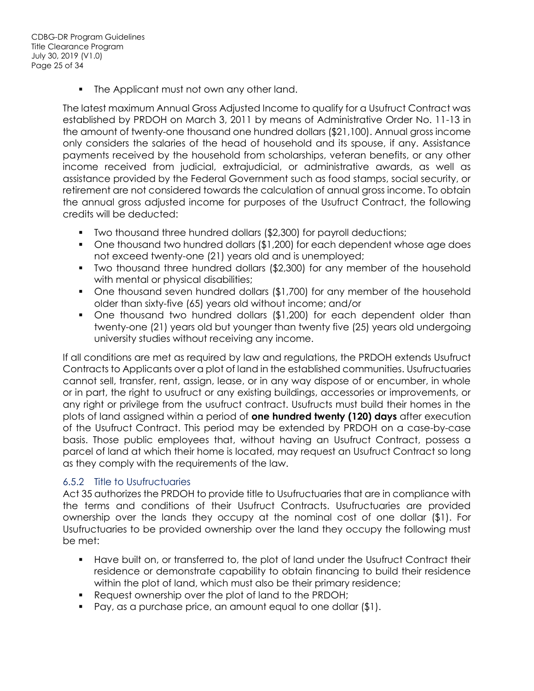• The Applicant must not own any other land.

The latest maximum Annual Gross Adjusted Income to qualify for a Usufruct Contract was established by PRDOH on March 3, 2011 by means of Administrative Order No. 11-13 in the amount of twenty-one thousand one hundred dollars (\$21,100). Annual gross income only considers the salaries of the head of household and its spouse, if any. Assistance payments received by the household from scholarships, veteran benefits, or any other income received from judicial, extrajudicial, or administrative awards, as well as assistance provided by the Federal Government such as food stamps, social security, or retirement are not considered towards the calculation of annual gross income. To obtain the annual gross adjusted income for purposes of the Usufruct Contract, the following credits will be deducted:

- Two thousand three hundred dollars (\$2,300) for payroll deductions;
- One thousand two hundred dollars (\$1,200) for each dependent whose age does not exceed twenty-one (21) years old and is unemployed;
- Two thousand three hundred dollars (\$2,300) for any member of the household with mental or physical disabilities;
- One thousand seven hundred dollars (\$1,700) for any member of the household older than sixty-five (65) years old without income; and/or
- One thousand two hundred dollars (\$1,200) for each dependent older than twenty-one (21) years old but younger than twenty five (25) years old undergoing university studies without receiving any income.

If all conditions are met as required by law and regulations, the PRDOH extends Usufruct Contracts to Applicants over a plot of land in the established communities. Usufructuaries cannot sell, transfer, rent, assign, lease, or in any way dispose of or encumber, in whole or in part, the right to usufruct or any existing buildings, accessories or improvements, or any right or privilege from the usufruct contract. Usufructs must build their homes in the plots of land assigned within a period of **one hundred twenty (120) days** after execution of the Usufruct Contract. This period may be extended by PRDOH on a case-by-case basis. Those public employees that, without having an Usufruct Contract, possess a parcel of land at which their home is located, may request an Usufruct Contract so long as they comply with the requirements of the law.

#### 6.5.2 Title to Usufructuaries

Act 35 authorizes the PRDOH to provide title to Usufructuaries that are in compliance with the terms and conditions of their Usufruct Contracts. Usufructuaries are provided ownership over the lands they occupy at the nominal cost of one dollar (\$1). For Usufructuaries to be provided ownership over the land they occupy the following must be met:

- Have built on, or transferred to, the plot of land under the Usufruct Contract their residence or demonstrate capability to obtain financing to build their residence within the plot of land, which must also be their primary residence;
- **Request ownership over the plot of land to the PRDOH;**
- Pay, as a purchase price, an amount equal to one dollar (\$1).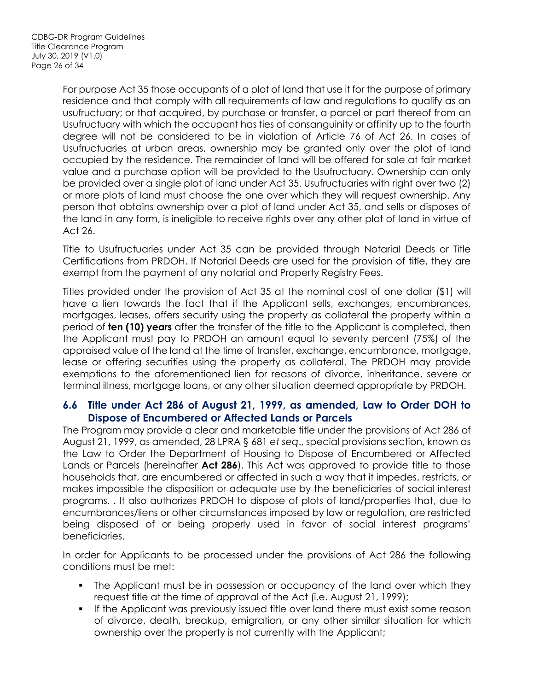For purpose Act 35 those occupants of a plot of land that use it for the purpose of primary residence and that comply with all requirements of law and regulations to qualify as an usufructuary; or that acquired, by purchase or transfer, a parcel or part thereof from an Usufructuary with which the occupant has ties of consanguinity or affinity up to the fourth degree will not be considered to be in violation of Article 76 of Act 26. In cases of Usufructuaries at urban areas, ownership may be granted only over the plot of land occupied by the residence. The remainder of land will be offered for sale at fair market value and a purchase option will be provided to the Usufructuary. Ownership can only be provided over a single plot of land under Act 35. Usufructuaries with right over two (2) or more plots of land must choose the one over which they will request ownership. Any person that obtains ownership over a plot of land under Act 35, and sells or disposes of the land in any form, is ineligible to receive rights over any other plot of land in virtue of Act 26.

Title to Usufructuaries under Act 35 can be provided through Notarial Deeds or Title Certifications from PRDOH. If Notarial Deeds are used for the provision of title, they are exempt from the payment of any notarial and Property Registry Fees.

Titles provided under the provision of Act 35 at the nominal cost of one dollar (\$1) will have a lien towards the fact that if the Applicant sells, exchanges, encumbrances, mortgages, leases, offers security using the property as collateral the property within a period of **ten (10) years** after the transfer of the title to the Applicant is completed, then the Applicant must pay to PRDOH an amount equal to seventy percent (75%) of the appraised value of the land at the time of transfer, exchange, encumbrance, mortgage, lease or offering securities using the property as collateral. The PRDOH may provide exemptions to the aforementioned lien for reasons of divorce, inheritance, severe or terminal illness, mortgage loans, or any other situation deemed appropriate by PRDOH.

#### <span id="page-25-0"></span>**6.6 Title under Act 286 of August 21, 1999, as amended, Law to Order DOH to Dispose of Encumbered or Affected Lands or Parcels**

The Program may provide a clear and marketable title under the provisions of Act 286 of August 21, 1999, as amended, 28 LPRA § 681 *et seq*., special provisions section, known as the Law to Order the Department of Housing to Dispose of Encumbered or Affected Lands or Parcels (hereinafter **Act 286**). This Act was approved to provide title to those households that, are encumbered or affected in such a way that it impedes, restricts, or makes impossible the disposition or adequate use by the beneficiaries of social interest programs. . It also authorizes PRDOH to dispose of plots of land/properties that, due to encumbrances/liens or other circumstances imposed by law or regulation, are restricted being disposed of or being properly used in favor of social interest programs' beneficiaries.

In order for Applicants to be processed under the provisions of Act 286 the following conditions must be met:

- The Applicant must be in possession or occupancy of the land over which they request title at the time of approval of the Act (i.e. August 21, 1999);
- If the Applicant was previously issued title over land there must exist some reason of divorce, death, breakup, emigration, or any other similar situation for which ownership over the property is not currently with the Applicant;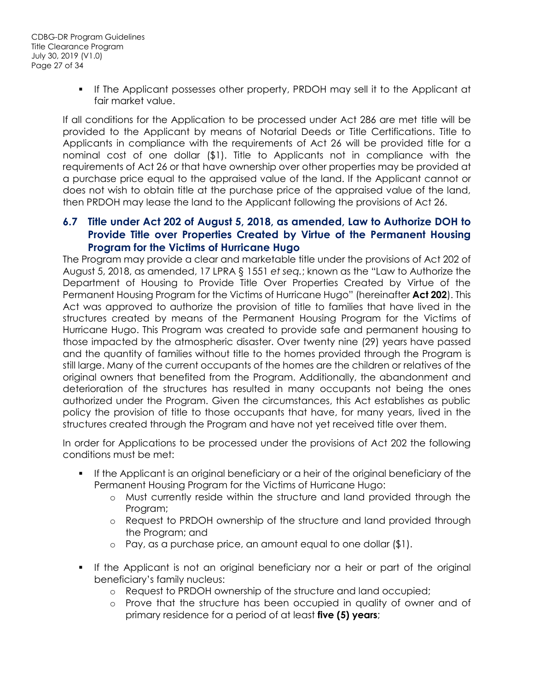If The Applicant possesses other property, PRDOH may sell it to the Applicant at fair market value.

If all conditions for the Application to be processed under Act 286 are met title will be provided to the Applicant by means of Notarial Deeds or Title Certifications. Title to Applicants in compliance with the requirements of Act 26 will be provided title for a nominal cost of one dollar (\$1). Title to Applicants not in compliance with the requirements of Act 26 or that have ownership over other properties may be provided at a purchase price equal to the appraised value of the land. If the Applicant cannot or does not wish to obtain title at the purchase price of the appraised value of the land, then PRDOH may lease the land to the Applicant following the provisions of Act 26.

#### <span id="page-26-0"></span>**6.7 Title under Act 202 of August 5, 2018, as amended, Law to Authorize DOH to Provide Title over Properties Created by Virtue of the Permanent Housing Program for the Victims of Hurricane Hugo**

The Program may provide a clear and marketable title under the provisions of Act 202 of August 5, 2018, as amended, 17 LPRA § 1551 *et seq.*; known as the "Law to Authorize the Department of Housing to Provide Title Over Properties Created by Virtue of the Permanent Housing Program for the Victims of Hurricane Hugo" (hereinafter **Act 202**). This Act was approved to authorize the provision of title to families that have lived in the structures created by means of the Permanent Housing Program for the Victims of Hurricane Hugo. This Program was created to provide safe and permanent housing to those impacted by the atmospheric disaster. Over twenty nine (29) years have passed and the quantity of families without title to the homes provided through the Program is still large. Many of the current occupants of the homes are the children or relatives of the original owners that benefited from the Program. Additionally, the abandonment and deterioration of the structures has resulted in many occupants not being the ones authorized under the Program. Given the circumstances, this Act establishes as public policy the provision of title to those occupants that have, for many years, lived in the structures created through the Program and have not yet received title over them.

In order for Applications to be processed under the provisions of Act 202 the following conditions must be met:

- If the Applicant is an original beneficiary or a heir of the original beneficiary of the Permanent Housing Program for the Victims of Hurricane Hugo:
	- o Must currently reside within the structure and land provided through the Program;
	- o Request to PRDOH ownership of the structure and land provided through the Program; and
	- o Pay, as a purchase price, an amount equal to one dollar (\$1).
- If the Applicant is not an original beneficiary nor a heir or part of the original beneficiary's family nucleus:
	- o Request to PRDOH ownership of the structure and land occupied;
	- o Prove that the structure has been occupied in quality of owner and of primary residence for a period of at least **five (5) years**;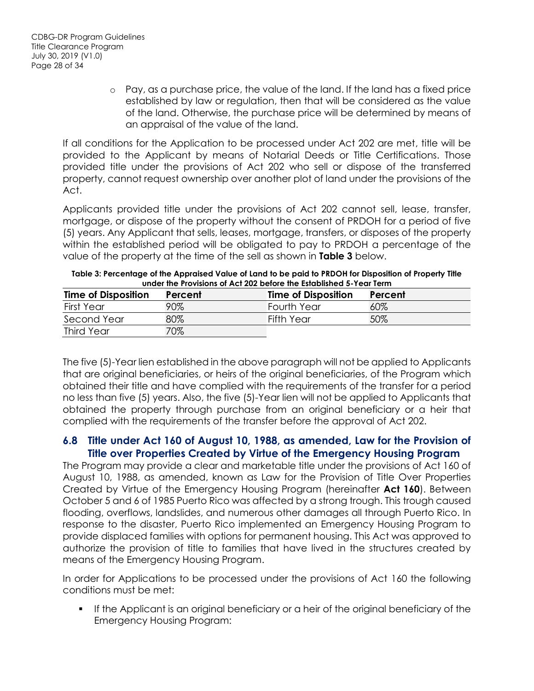o Pay, as a purchase price, the value of the land. If the land has a fixed price established by law or regulation, then that will be considered as the value of the land. Otherwise, the purchase price will be determined by means of an appraisal of the value of the land.

If all conditions for the Application to be processed under Act 202 are met, title will be provided to the Applicant by means of Notarial Deeds or Title Certifications. Those provided title under the provisions of Act 202 who sell or dispose of the transferred property, cannot request ownership over another plot of land under the provisions of the Act.

Applicants provided title under the provisions of Act 202 cannot sell, lease, transfer, mortgage, or dispose of the property without the consent of PRDOH for a period of five (5) years. Any Applicant that sells, leases, mortgage, transfers, or disposes of the property within the established period will be obligated to pay to PRDOH a percentage of the value of the property at the time of the sell as shown in **[Table 3](#page-27-1)** below.

| <b>Time of Disposition</b> | Percent | <b>Time of Disposition</b> | Percent |
|----------------------------|---------|----------------------------|---------|
| <b>First Year</b>          | 90%     | Fourth Year                | 60%     |
| Second Year                | 80%     | Fifth Year                 | 50%     |
| <b>Third Year</b>          | 70%     |                            |         |

<span id="page-27-1"></span>**Table 3: Percentage of the Appraised Value of Land to be paid to PRDOH for Disposition of Property Title under the Provisions of Act 202 before the Established 5-Year Term**

The five (5)-Year lien established in the above paragraph will not be applied to Applicants that are original beneficiaries, or heirs of the original beneficiaries, of the Program which obtained their title and have complied with the requirements of the transfer for a period no less than five (5) years. Also, the five (5)-Year lien will not be applied to Applicants that obtained the property through purchase from an original beneficiary or a heir that complied with the requirements of the transfer before the approval of Act 202.

#### <span id="page-27-0"></span>**6.8 Title under Act 160 of August 10, 1988, as amended, Law for the Provision of Title over Properties Created by Virtue of the Emergency Housing Program**

The Program may provide a clear and marketable title under the provisions of Act 160 of August 10, 1988, as amended, known as Law for the Provision of Title Over Properties Created by Virtue of the Emergency Housing Program (hereinafter **Act 160**). Between October 5 and 6 of 1985 Puerto Rico was affected by a strong trough. This trough caused flooding, overflows, landslides, and numerous other damages all through Puerto Rico. In response to the disaster, Puerto Rico implemented an Emergency Housing Program to provide displaced families with options for permanent housing. This Act was approved to authorize the provision of title to families that have lived in the structures created by means of the Emergency Housing Program.

In order for Applications to be processed under the provisions of Act 160 the following conditions must be met:

 If the Applicant is an original beneficiary or a heir of the original beneficiary of the Emergency Housing Program: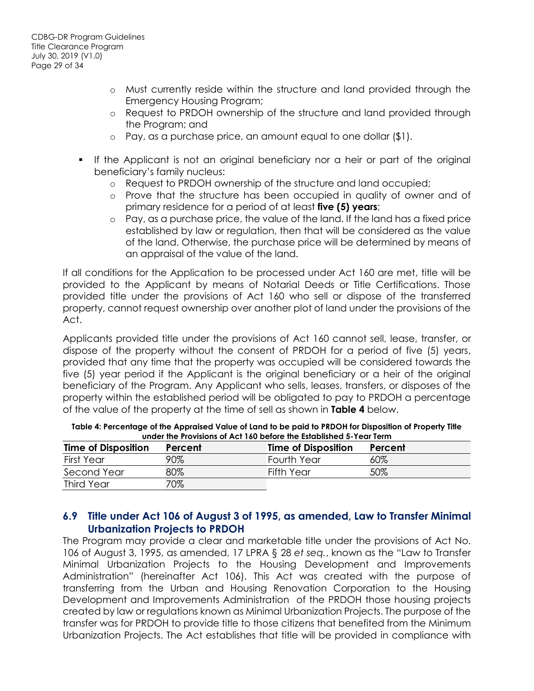- o Must currently reside within the structure and land provided through the Emergency Housing Program;
- o Request to PRDOH ownership of the structure and land provided through the Program; and
- o Pay, as a purchase price, an amount equal to one dollar (\$1).
- If the Applicant is not an original beneficiary nor a heir or part of the original beneficiary's family nucleus:
	- o Request to PRDOH ownership of the structure and land occupied;
	- o Prove that the structure has been occupied in quality of owner and of primary residence for a period of at least **five (5) years**;
	- o Pay, as a purchase price, the value of the land. If the land has a fixed price established by law or regulation, then that will be considered as the value of the land. Otherwise, the purchase price will be determined by means of an appraisal of the value of the land.

If all conditions for the Application to be processed under Act 160 are met, title will be provided to the Applicant by means of Notarial Deeds or Title Certifications. Those provided title under the provisions of Act 160 who sell or dispose of the transferred property, cannot request ownership over another plot of land under the provisions of the Act.

Applicants provided title under the provisions of Act 160 cannot sell, lease, transfer, or dispose of the property without the consent of PRDOH for a period of five (5) years, provided that any time that the property was occupied will be considered towards the five (5) year period if the Applicant is the original beneficiary or a heir of the original beneficiary of the Program. Any Applicant who sells, leases, transfers, or disposes of the property within the established period will be obligated to pay to PRDOH a percentage of the value of the property at the time of sell as shown in **[Table 4](#page-28-1)** below.

| <u>UNUS TIOMURUS OFFICI TOO DUDIG TIIG EJIUDIIJIIGU UF FUUT IUMI</u> |         |                            |         |  |  |
|----------------------------------------------------------------------|---------|----------------------------|---------|--|--|
| <b>Time of Disposition</b>                                           | Percent | <b>Time of Disposition</b> | Percent |  |  |
| <b>First Year</b>                                                    | ၁၀%     | Fourth Year                | 60%     |  |  |
| Second Year                                                          | 80%     | Fifth Year                 | 50%     |  |  |
| Third Year                                                           | 70%     |                            |         |  |  |

<span id="page-28-1"></span>**Table 4: Percentage of the Appraised Value of Land to be paid to PRDOH for Disposition of Property Title under the Provisions of Act 160 before the Established 5-Year Term**

## <span id="page-28-0"></span>**6.9 Title under Act 106 of August 3 of 1995, as amended, Law to Transfer Minimal Urbanization Projects to PRDOH**

The Program may provide a clear and marketable title under the provisions of Act No. 106 of August 3, 1995, as amended, 17 LPRA § 28 *et seq.*, known as the "Law to Transfer Minimal Urbanization Projects to the Housing Development and Improvements Administration" (hereinafter Act 106). This Act was created with the purpose of transferring from the Urban and Housing Renovation Corporation to the Housing Development and Improvements Administration of the PRDOH those housing projects created by law or regulations known as Minimal Urbanization Projects. The purpose of the transfer was for PRDOH to provide title to those citizens that benefited from the Minimum Urbanization Projects. The Act establishes that title will be provided in compliance with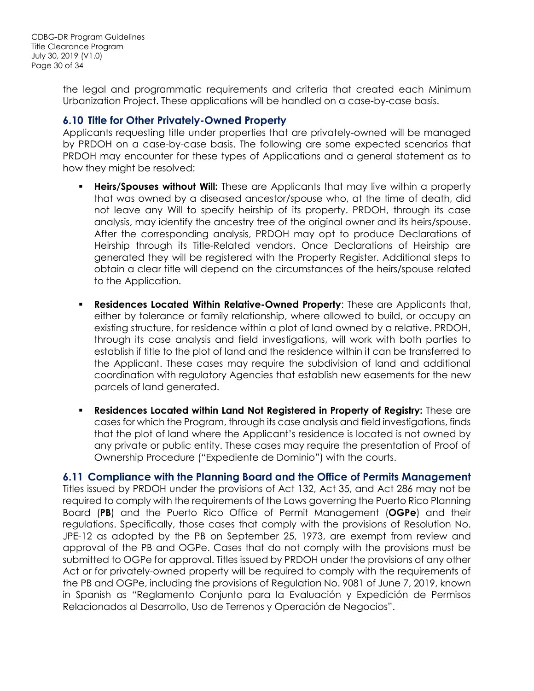CDBG-DR Program Guidelines Title Clearance Program July 30, 2019 (V1.0) Page 30 of 34

> the legal and programmatic requirements and criteria that created each Minimum Urbanization Project. These applications will be handled on a case-by-case basis.

#### <span id="page-29-0"></span>**6.10 Title for Other Privately-Owned Property**

Applicants requesting title under properties that are privately-owned will be managed by PRDOH on a case-by-case basis. The following are some expected scenarios that PRDOH may encounter for these types of Applications and a general statement as to how they might be resolved:

- **Heirs/Spouses without Will:** These are Applicants that may live within a property that was owned by a diseased ancestor/spouse who, at the time of death, did not leave any Will to specify heirship of its property. PRDOH, through its case analysis, may identify the ancestry tree of the original owner and its heirs/spouse. After the corresponding analysis, PRDOH may opt to produce Declarations of Heirship through its Title-Related vendors. Once Declarations of Heirship are generated they will be registered with the Property Register. Additional steps to obtain a clear title will depend on the circumstances of the heirs/spouse related to the Application.
- **Residences Located Within Relative-Owned Property**: These are Applicants that, either by tolerance or family relationship, where allowed to build, or occupy an existing structure, for residence within a plot of land owned by a relative. PRDOH, through its case analysis and field investigations, will work with both parties to establish if title to the plot of land and the residence within it can be transferred to the Applicant. These cases may require the subdivision of land and additional coordination with regulatory Agencies that establish new easements for the new parcels of land generated.
- **Residences Located within Land Not Registered in Property of Registry:** These are cases for which the Program, through its case analysis and field investigations, finds that the plot of land where the Applicant's residence is located is not owned by any private or public entity. These cases may require the presentation of Proof of Ownership Procedure ("Expediente de Dominio") with the courts.

<span id="page-29-1"></span>**6.11 Compliance with the Planning Board and the Office of Permits Management** Titles issued by PRDOH under the provisions of Act 132, Act 35, and Act 286 may not be required to comply with the requirements of the Laws governing the Puerto Rico Planning Board (**PB**) and the Puerto Rico Office of Permit Management (**OGPe**) and their regulations. Specifically, those cases that comply with the provisions of Resolution No. JPE-12 as adopted by the PB on September 25, 1973, are exempt from review and approval of the PB and OGPe. Cases that do not comply with the provisions must be submitted to OGPe for approval. Titles issued by PRDOH under the provisions of any other Act or for privately-owned property will be required to comply with the requirements of the PB and OGPe, including the provisions of Regulation No. 9081 of June 7, 2019, known in Spanish as "Reglamento Conjunto para la Evaluación y Expedición de Permisos Relacionados al Desarrollo, Uso de Terrenos y Operación de Negocios".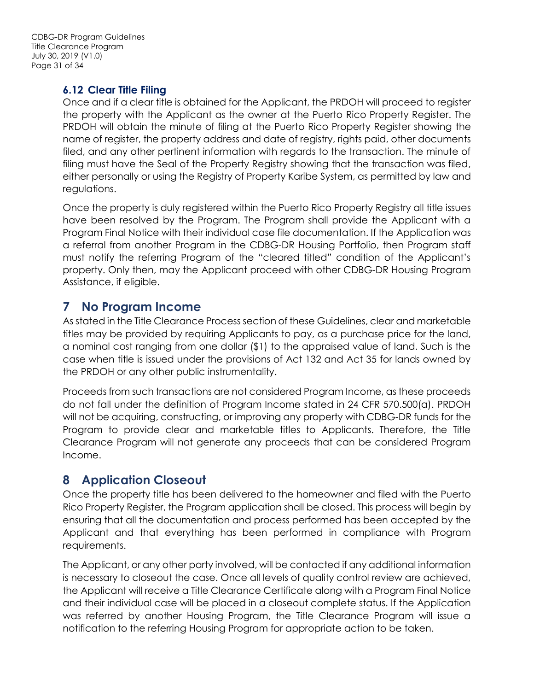# <span id="page-30-0"></span>**6.12 Clear Title Filing**

Once and if a clear title is obtained for the Applicant, the PRDOH will proceed to register the property with the Applicant as the owner at the Puerto Rico Property Register. The PRDOH will obtain the minute of filing at the Puerto Rico Property Register showing the name of register, the property address and date of registry, rights paid, other documents filed, and any other pertinent information with regards to the transaction. The minute of filing must have the Seal of the Property Registry showing that the transaction was filed, either personally or using the Registry of Property Karibe System, as permitted by law and regulations.

Once the property is duly registered within the Puerto Rico Property Registry all title issues have been resolved by the Program. The Program shall provide the Applicant with a Program Final Notice with their individual case file documentation. If the Application was a referral from another Program in the CDBG-DR Housing Portfolio, then Program staff must notify the referring Program of the "cleared titled" condition of the Applicant's property. Only then, may the Applicant proceed with other CDBG-DR Housing Program Assistance, if eligible.

# <span id="page-30-1"></span>**7 No Program Income**

As stated in the Title Clearance Process section of these Guidelines, clear and marketable titles may be provided by requiring Applicants to pay, as a purchase price for the land, a nominal cost ranging from one dollar (\$1) to the appraised value of land. Such is the case when title is issued under the provisions of Act 132 and Act 35 for lands owned by the PRDOH or any other public instrumentality.

Proceeds from such transactions are not considered Program Income, as these proceeds do not fall under the definition of Program Income stated in 24 CFR 570.500(a). PRDOH will not be acquiring, constructing, or improving any property with CDBG-DR funds for the Program to provide clear and marketable titles to Applicants. Therefore, the Title Clearance Program will not generate any proceeds that can be considered Program Income.

# <span id="page-30-2"></span>**8 Application Closeout**

Once the property title has been delivered to the homeowner and filed with the Puerto Rico Property Register, the Program application shall be closed. This process will begin by ensuring that all the documentation and process performed has been accepted by the Applicant and that everything has been performed in compliance with Program requirements.

The Applicant, or any other party involved, will be contacted if any additional information is necessary to closeout the case. Once all levels of quality control review are achieved, the Applicant will receive a Title Clearance Certificate along with a Program Final Notice and their individual case will be placed in a closeout complete status. If the Application was referred by another Housing Program, the Title Clearance Program will issue a notification to the referring Housing Program for appropriate action to be taken.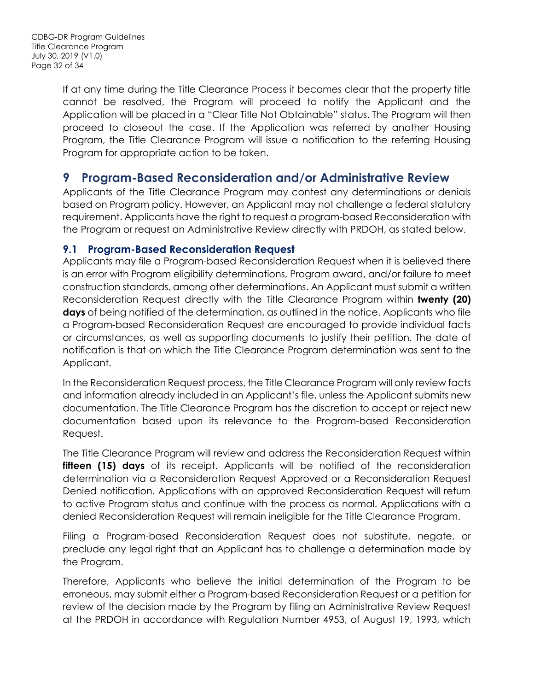If at any time during the Title Clearance Process it becomes clear that the property title cannot be resolved, the Program will proceed to notify the Applicant and the Application will be placed in a "Clear Title Not Obtainable" status. The Program will then proceed to closeout the case. If the Application was referred by another Housing Program, the Title Clearance Program will issue a notification to the referring Housing Program for appropriate action to be taken.

# <span id="page-31-0"></span>**9 Program-Based Reconsideration and/or Administrative Review**

Applicants of the Title Clearance Program may contest any determinations or denials based on Program policy. However, an Applicant may not challenge a federal statutory requirement. Applicants have the right to request a program-based Reconsideration with the Program or request an Administrative Review directly with PRDOH, as stated below.

#### <span id="page-31-1"></span>**9.1 Program-Based Reconsideration Request**

Applicants may file a Program-based Reconsideration Request when it is believed there is an error with Program eligibility determinations, Program award, and/or failure to meet construction standards, among other determinations. An Applicant must submit a written Reconsideration Request directly with the Title Clearance Program within **twenty (20) days** of being notified of the determination, as outlined in the notice. Applicants who file a Program-based Reconsideration Request are encouraged to provide individual facts or circumstances, as well as supporting documents to justify their petition. The date of notification is that on which the Title Clearance Program determination was sent to the Applicant.

In the Reconsideration Request process, the Title Clearance Program will only review facts and information already included in an Applicant's file, unless the Applicant submits new documentation. The Title Clearance Program has the discretion to accept or reject new documentation based upon its relevance to the Program-based Reconsideration Request.

The Title Clearance Program will review and address the Reconsideration Request within **fifteen (15) days** of its receipt. Applicants will be notified of the reconsideration determination via a Reconsideration Request Approved or a Reconsideration Request Denied notification. Applications with an approved Reconsideration Request will return to active Program status and continue with the process as normal. Applications with a denied Reconsideration Request will remain ineligible for the Title Clearance Program.

Filing a Program-based Reconsideration Request does not substitute, negate, or preclude any legal right that an Applicant has to challenge a determination made by the Program.

Therefore, Applicants who believe the initial determination of the Program to be erroneous, may submit either a Program-based Reconsideration Request or a petition for review of the decision made by the Program by filing an Administrative Review Request at the PRDOH in accordance with Regulation Number 4953, of August 19, 1993, which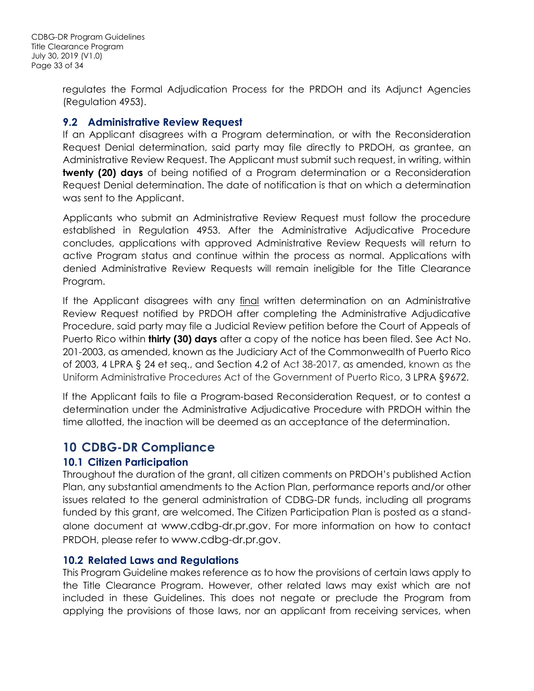regulates the Formal Adjudication Process for the PRDOH and its Adjunct Agencies (Regulation 4953).

## <span id="page-32-0"></span>**9.2 Administrative Review Request**

If an Applicant disagrees with a Program determination, or with the Reconsideration Request Denial determination, said party may file directly to PRDOH, as grantee, an Administrative Review Request. The Applicant must submit such request, in writing, within **twenty (20) days** of being notified of a Program determination or a Reconsideration Request Denial determination. The date of notification is that on which a determination was sent to the Applicant.

Applicants who submit an Administrative Review Request must follow the procedure established in Regulation 4953. After the Administrative Adjudicative Procedure concludes, applications with approved Administrative Review Requests will return to active Program status and continue within the process as normal. Applications with denied Administrative Review Requests will remain ineligible for the Title Clearance Program.

If the Applicant disagrees with any final written determination on an Administrative Review Request notified by PRDOH after completing the Administrative Adjudicative Procedure, said party may file a Judicial Review petition before the Court of Appeals of Puerto Rico within **thirty (30) days** after a copy of the notice has been filed. See Act No. 201-2003, as amended, known as the Judiciary Act of the Commonwealth of Puerto Rico of 2003, 4 LPRA § 24 et seq., and Section 4.2 of Act 38-2017, as amended, known as the Uniform Administrative Procedures Act of the Government of Puerto Rico, 3 LPRA §9672.

If the Applicant fails to file a Program-based Reconsideration Request, or to contest a determination under the Administrative Adjudicative Procedure with PRDOH within the time allotted, the inaction will be deemed as an acceptance of the determination.

# <span id="page-32-1"></span>**10 CDBG-DR Compliance**

## <span id="page-32-2"></span>**10.1 Citizen Participation**

Throughout the duration of the grant, all citizen comments on PRDOH's published Action Plan, any substantial amendments to the Action Plan, performance reports and/or other issues related to the general administration of CDBG-DR funds, including all programs funded by this grant, are welcomed. The Citizen Participation Plan is posted as a standalone document at [www.cdbg-dr.pr.gov](http://www.cdbg-dr.pr.gov/). For more information on how to contact PRDOH, please refer to [www.cdbg-dr.pr.gov](http://www.cdbg-dr.pr.gov/).

#### <span id="page-32-3"></span>**10.2 Related Laws and Regulations**

This Program Guideline makes reference as to how the provisions of certain laws apply to the Title Clearance Program. However, other related laws may exist which are not included in these Guidelines. This does not negate or preclude the Program from applying the provisions of those laws, nor an applicant from receiving services, when